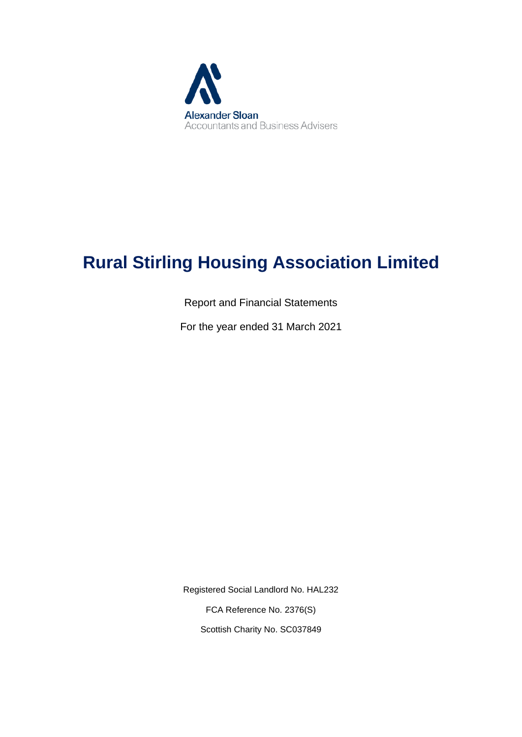

# **Rural Stirling Housing Association Limited**

Report and Financial Statements

For the year ended 31 March 2021

Registered Social Landlord No. HAL232 FCA Reference No. 2376(S) Scottish Charity No. SC037849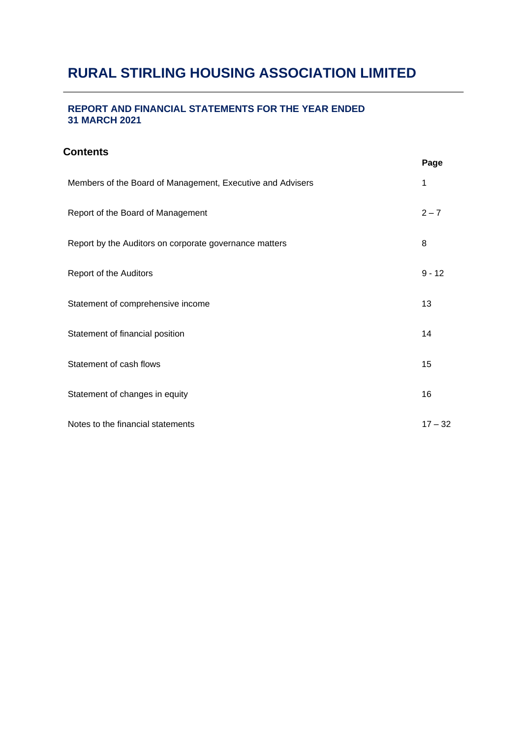#### **REPORT AND FINANCIAL STATEMENTS FOR THE YEAR ENDED 31 MARCH 2021**

### **Contents**

|                                                            | r ayc     |
|------------------------------------------------------------|-----------|
| Members of the Board of Management, Executive and Advisers | 1         |
| Report of the Board of Management                          | $2 - 7$   |
| Report by the Auditors on corporate governance matters     | 8         |
| Report of the Auditors                                     | $9 - 12$  |
| Statement of comprehensive income                          | 13        |
| Statement of financial position                            | 14        |
| Statement of cash flows                                    | 15        |
| Statement of changes in equity                             | 16        |
| Notes to the financial statements                          | $17 - 32$ |

**Page**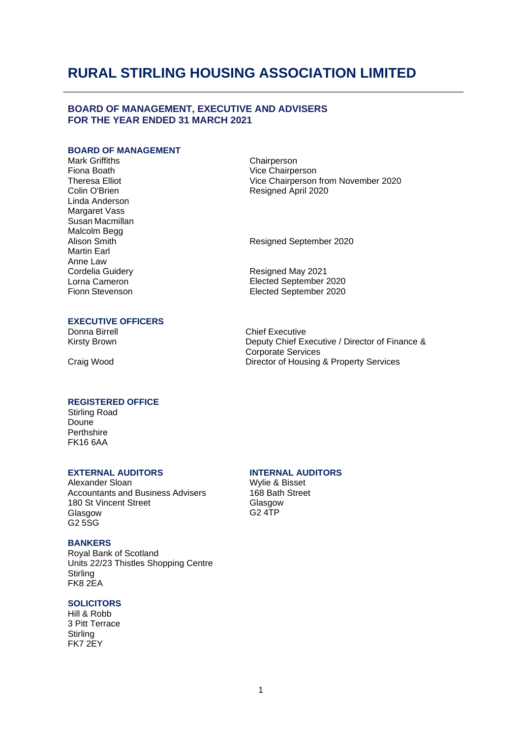#### **BOARD OF MANAGEMENT, EXECUTIVE AND ADVISERS FOR THE YEAR ENDED 31 MARCH 2021**

#### **BOARD OF MANAGEMENT**

Mark Griffiths Fiona Boath Theresa Elliot Colin O'Brien Linda Anderson Margaret Vass Susan Macmillan Malcolm Begg Alison Smith Martin Earl Anne Law Cordelia Guidery Lorna Cameron Fionn Stevenson

**Chairperson** Vice Chairperson Vice Chairperson from November 2020 Resigned April 2020

Resigned September 2020

Resigned May 2021 Elected September 2020 Elected September 2020

#### **EXECUTIVE OFFICERS**

Donna Birrell Kirsty Brown

Craig Wood

Chief Executive Deputy Chief Executive / Director of Finance & Corporate Services Director of Housing & Property Services

#### **REGISTERED OFFICE**

Stirling Road Doune **Perthshire** FK16 6AA

Alexander Sloan Accountants and Business Advisers 180 St Vincent Street Glasgow G2 5SG

#### **BANKERS**

Royal Bank of Scotland Units 22/23 Thistles Shopping Centre **Stirling** FK8 2EA

#### **SOLICITORS**

Hill & Robb 3 Pitt Terrace **Stirling** FK7 2EY

#### **EXTERNAL AUDITORS INTERNAL AUDITORS**

Wylie & Bisset 168 Bath Street Glasgow G2 4TP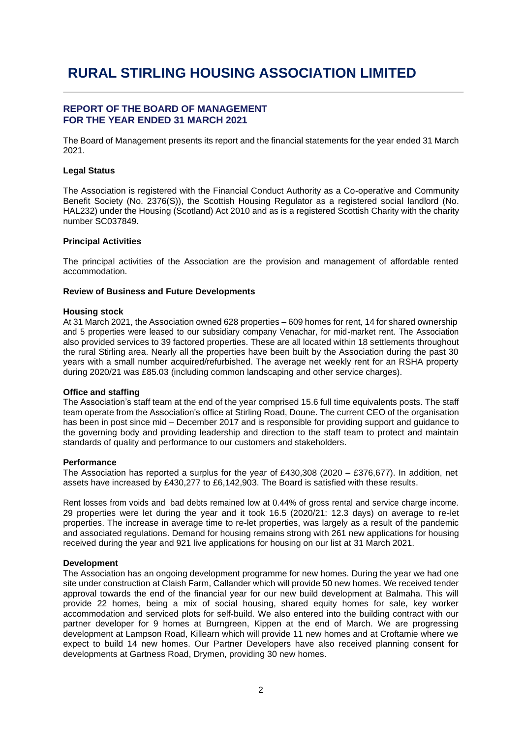#### **REPORT OF THE BOARD OF MANAGEMENT FOR THE YEAR ENDED 31 MARCH 2021**

The Board of Management presents its report and the financial statements for the year ended 31 March 2021.

#### **Legal Status**

The Association is registered with the Financial Conduct Authority as a Co-operative and Community Benefit Society (No. 2376(S)), the Scottish Housing Regulator as a registered social landlord (No. HAL232) under the Housing (Scotland) Act 2010 and as is a registered Scottish Charity with the charity number SC037849.

#### **Principal Activities**

The principal activities of the Association are the provision and management of affordable rented accommodation.

#### **Review of Business and Future Developments**

#### **Housing stock**

At 31 March 2021, the Association owned 628 properties – 609 homes for rent, 14 for shared ownership and 5 properties were leased to our subsidiary company Venachar, for mid-market rent. The Association also provided services to 39 factored properties. These are all located within 18 settlements throughout the rural Stirling area. Nearly all the properties have been built by the Association during the past 30 years with a small number acquired/refurbished. The average net weekly rent for an RSHA property during 2020/21 was £85.03 (including common landscaping and other service charges).

#### **Office and staffing**

The Association's staff team at the end of the year comprised 15.6 full time equivalents posts. The staff team operate from the Association's office at Stirling Road, Doune. The current CEO of the organisation has been in post since mid – December 2017 and is responsible for providing support and guidance to the governing body and providing leadership and direction to the staff team to protect and maintain standards of quality and performance to our customers and stakeholders.

#### **Performance**

The Association has reported a surplus for the year of £430,308 (2020 – £376,677). In addition, net assets have increased by £430,277 to £6,142,903. The Board is satisfied with these results.

Rent losses from voids and bad debts remained low at 0.44% of gross rental and service charge income. 29 properties were let during the year and it took 16.5 (2020/21: 12.3 days) on average to re-let properties. The increase in average time to re-let properties, was largely as a result of the pandemic and associated regulations. Demand for housing remains strong with 261 new applications for housing received during the year and 921 live applications for housing on our list at 31 March 2021.

#### **Development**

The Association has an ongoing development programme for new homes. During the year we had one site under construction at Claish Farm, Callander which will provide 50 new homes. We received tender approval towards the end of the financial year for our new build development at Balmaha. This will provide 22 homes, being a mix of social housing, shared equity homes for sale, key worker accommodation and serviced plots for self-build. We also entered into the building contract with our partner developer for 9 homes at Burngreen, Kippen at the end of March. We are progressing development at Lampson Road, Killearn which will provide 11 new homes and at Croftamie where we expect to build 14 new homes. Our Partner Developers have also received planning consent for developments at Gartness Road, Drymen, providing 30 new homes.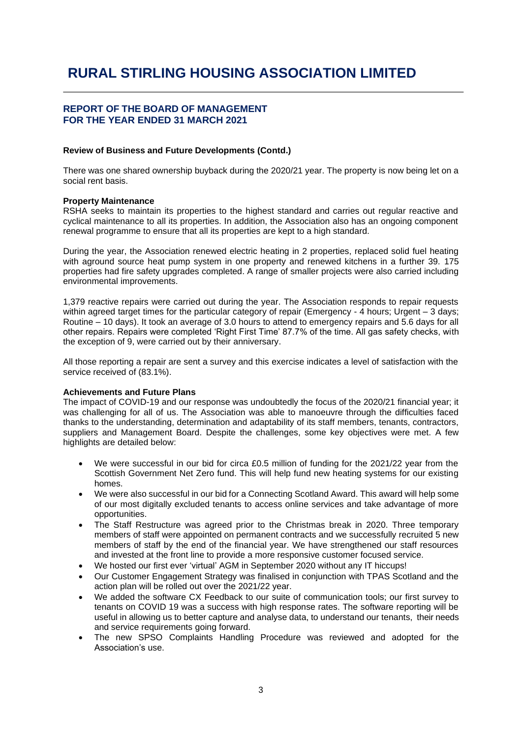#### **REPORT OF THE BOARD OF MANAGEMENT FOR THE YEAR ENDED 31 MARCH 2021**

#### **Review of Business and Future Developments (Contd.)**

There was one shared ownership buyback during the 2020/21 year. The property is now being let on a social rent basis.

#### **Property Maintenance**

RSHA seeks to maintain its properties to the highest standard and carries out regular reactive and cyclical maintenance to all its properties. In addition, the Association also has an ongoing component renewal programme to ensure that all its properties are kept to a high standard.

During the year, the Association renewed electric heating in 2 properties, replaced solid fuel heating with aground source heat pump system in one property and renewed kitchens in a further 39. 175 properties had fire safety upgrades completed. A range of smaller projects were also carried including environmental improvements.

1,379 reactive repairs were carried out during the year. The Association responds to repair requests within agreed target times for the particular category of repair (Emergency - 4 hours; Urgent – 3 days; Routine – 10 days). It took an average of 3.0 hours to attend to emergency repairs and 5.6 days for all other repairs. Repairs were completed 'Right First Time' 87.7% of the time. All gas safety checks, with the exception of 9, were carried out by their anniversary.

All those reporting a repair are sent a survey and this exercise indicates a level of satisfaction with the service received of (83.1%).

#### **Achievements and Future Plans**

The impact of COVID-19 and our response was undoubtedly the focus of the 2020/21 financial year; it was challenging for all of us. The Association was able to manoeuvre through the difficulties faced thanks to the understanding, determination and adaptability of its staff members, tenants, contractors, suppliers and Management Board. Despite the challenges, some key objectives were met. A few highlights are detailed below:

- We were successful in our bid for circa £0.5 million of funding for the 2021/22 year from the Scottish Government Net Zero fund. This will help fund new heating systems for our existing homes.
- We were also successful in our bid for a Connecting Scotland Award. This award will help some of our most digitally excluded tenants to access online services and take advantage of more opportunities.
- The Staff Restructure was agreed prior to the Christmas break in 2020. Three temporary members of staff were appointed on permanent contracts and we successfully recruited 5 new members of staff by the end of the financial year. We have strengthened our staff resources and invested at the front line to provide a more responsive customer focused service.
- We hosted our first ever 'virtual' AGM in September 2020 without any IT hiccups!
- Our Customer Engagement Strategy was finalised in conjunction with TPAS Scotland and the action plan will be rolled out over the 2021/22 year.
- We added the software CX Feedback to our suite of communication tools; our first survey to tenants on COVID 19 was a success with high response rates. The software reporting will be useful in allowing us to better capture and analyse data, to understand our tenants, their needs and service requirements going forward.
- The new SPSO Complaints Handling Procedure was reviewed and adopted for the Association's use.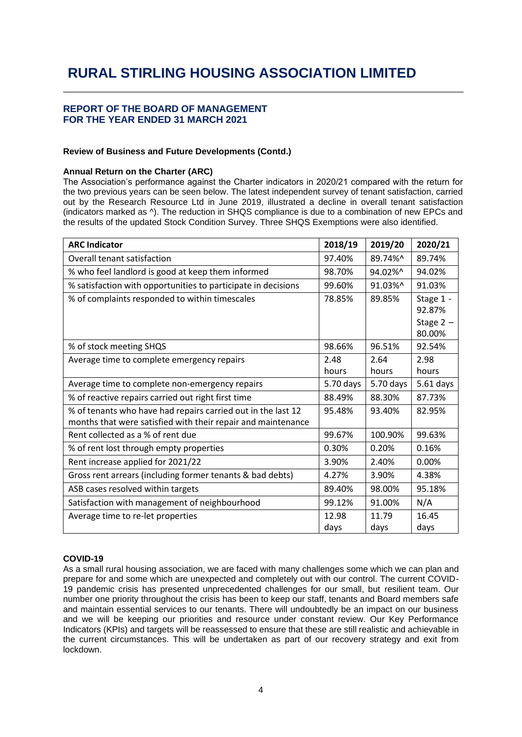#### **REPORT OF THE BOARD OF MANAGEMENT FOR THE YEAR ENDED 31 MARCH 2021**

#### **Review of Business and Future Developments (Contd.)**

#### **Annual Return on the Charter (ARC)**

The Association's performance against the Charter indicators in 2020/21 compared with the return for the two previous years can be seen below. The latest independent survey of tenant satisfaction, carried out by the Research Resource Ltd in June 2019, illustrated a decline in overall tenant satisfaction (indicators marked as ^). The reduction in SHQS compliance is due to a combination of new EPCs and the results of the updated Stock Condition Survey. Three SHQS Exemptions were also identified.

| <b>ARC Indicator</b>                                                                                                         | 2018/19   | 2019/20   | 2020/21               |
|------------------------------------------------------------------------------------------------------------------------------|-----------|-----------|-----------------------|
| Overall tenant satisfaction                                                                                                  | 97.40%    | 89.74%^   | 89.74%                |
| % who feel landlord is good at keep them informed                                                                            | 98.70%    | 94.02%^   | 94.02%                |
| % satisfaction with opportunities to participate in decisions                                                                | 99.60%    | 91.03%^   | 91.03%                |
| % of complaints responded to within timescales                                                                               | 78.85%    | 89.85%    | Stage 1 -<br>92.87%   |
|                                                                                                                              |           |           | Stage $2 -$<br>80.00% |
| % of stock meeting SHQS                                                                                                      | 98.66%    | 96.51%    | 92.54%                |
| Average time to complete emergency repairs                                                                                   | 2.48      | 2.64      | 2.98                  |
|                                                                                                                              | hours     | hours     | hours                 |
| Average time to complete non-emergency repairs                                                                               | 5.70 days | 5.70 days | 5.61 days             |
| % of reactive repairs carried out right first time                                                                           | 88.49%    | 88.30%    | 87.73%                |
| % of tenants who have had repairs carried out in the last 12<br>months that were satisfied with their repair and maintenance | 95.48%    | 93.40%    | 82.95%                |
| Rent collected as a % of rent due                                                                                            | 99.67%    | 100.90%   | 99.63%                |
| % of rent lost through empty properties                                                                                      | 0.30%     | 0.20%     | 0.16%                 |
| Rent increase applied for 2021/22                                                                                            | 3.90%     | 2.40%     | 0.00%                 |
| Gross rent arrears (including former tenants & bad debts)                                                                    | 4.27%     | 3.90%     | 4.38%                 |
| ASB cases resolved within targets                                                                                            | 89.40%    | 98.00%    | 95.18%                |
| Satisfaction with management of neighbourhood                                                                                | 99.12%    | 91.00%    | N/A                   |
| Average time to re-let properties                                                                                            | 12.98     | 11.79     | 16.45                 |
|                                                                                                                              | days      | days      | days                  |

#### <span id="page-5-0"></span>**COVID-19**

As a small rural housing association, we are faced with many challenges some which we can plan and prepare for and some which are unexpected and completely out with our control. The current COVID-19 pandemic crisis has presented unprecedented challenges for our small, but resilient team. Our number one priority throughout the crisis has been to keep our staff, tenants and Board members safe and maintain essential services to our tenants. There will undoubtedly be an impact on our business and we will be keeping our priorities and resource under constant review. Our Key Performance Indicators (KPIs) and targets will be reassessed to ensure that these are still realistic and achievable in the current circumstances. This will be undertaken as part of our recovery strategy and exit from lockdown.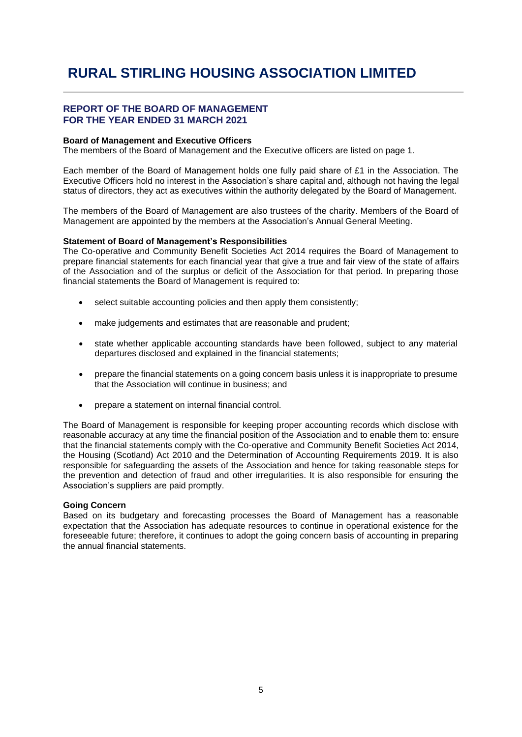#### **REPORT OF THE BOARD OF MANAGEMENT FOR THE YEAR ENDED 31 MARCH 2021**

#### **Board of Management and Executive Officers**

The members of the Board of Management and the Executive officers are listed on page 1.

Each member of the Board of Management holds one fully paid share of £1 in the Association. The Executive Officers hold no interest in the Association's share capital and, although not having the legal status of directors, they act as executives within the authority delegated by the Board of Management.

The members of the Board of Management are also trustees of the charity. Members of the Board of Management are appointed by the members at the Association's Annual General Meeting.

#### **Statement of Board of Management's Responsibilities**

The Co-operative and Community Benefit Societies Act 2014 requires the Board of Management to prepare financial statements for each financial year that give a true and fair view of the state of affairs of the Association and of the surplus or deficit of the Association for that period. In preparing those financial statements the Board of Management is required to:

- select suitable accounting policies and then apply them consistently;
- make judgements and estimates that are reasonable and prudent;
- state whether applicable accounting standards have been followed, subject to any material departures disclosed and explained in the financial statements;
- prepare the financial statements on a going concern basis unless it is inappropriate to presume that the Association will continue in business; and
- prepare a statement on internal financial control.

The Board of Management is responsible for keeping proper accounting records which disclose with reasonable accuracy at any time the financial position of the Association and to enable them to: ensure that the financial statements comply with the Co-operative and Community Benefit Societies Act 2014, the Housing (Scotland) Act 2010 and the Determination of Accounting Requirements 2019. It is also responsible for safeguarding the assets of the Association and hence for taking reasonable steps for the prevention and detection of fraud and other irregularities. It is also responsible for ensuring the Association's suppliers are paid promptly.

#### **Going Concern**

Based on its budgetary and forecasting processes the Board of Management has a reasonable expectation that the Association has adequate resources to continue in operational existence for the foreseeable future; therefore, it continues to adopt the going concern basis of accounting in preparing the annual financial statements.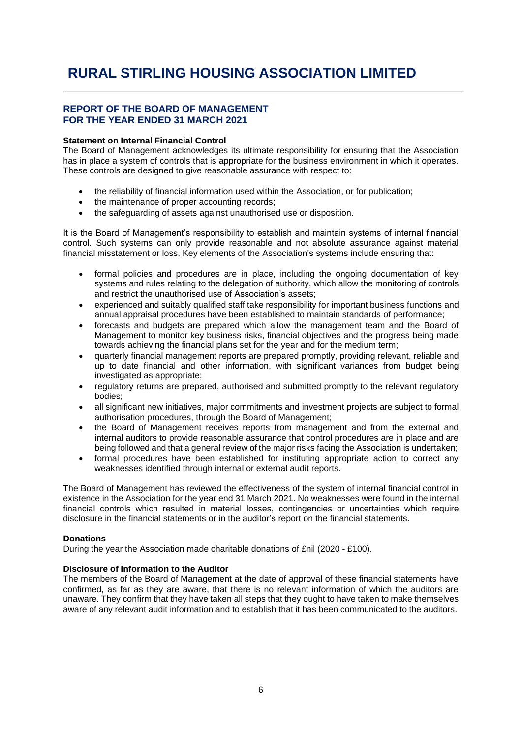#### **REPORT OF THE BOARD OF MANAGEMENT FOR THE YEAR ENDED 31 MARCH 2021**

#### **Statement on Internal Financial Control**

The Board of Management acknowledges its ultimate responsibility for ensuring that the Association has in place a system of controls that is appropriate for the business environment in which it operates. These controls are designed to give reasonable assurance with respect to:

- the reliability of financial information used within the Association, or for publication;
- the maintenance of proper accounting records;
- the safeguarding of assets against unauthorised use or disposition.

It is the Board of Management's responsibility to establish and maintain systems of internal financial control. Such systems can only provide reasonable and not absolute assurance against material financial misstatement or loss. Key elements of the Association's systems include ensuring that:

- formal policies and procedures are in place, including the ongoing documentation of key systems and rules relating to the delegation of authority, which allow the monitoring of controls and restrict the unauthorised use of Association's assets;
- experienced and suitably qualified staff take responsibility for important business functions and annual appraisal procedures have been established to maintain standards of performance;
- forecasts and budgets are prepared which allow the management team and the Board of Management to monitor key business risks, financial objectives and the progress being made towards achieving the financial plans set for the year and for the medium term;
- quarterly financial management reports are prepared promptly, providing relevant, reliable and up to date financial and other information, with significant variances from budget being investigated as appropriate;
- regulatory returns are prepared, authorised and submitted promptly to the relevant regulatory bodies;
- all significant new initiatives, major commitments and investment projects are subject to formal authorisation procedures, through the Board of Management;
- the Board of Management receives reports from management and from the external and internal auditors to provide reasonable assurance that control procedures are in place and are being followed and that a general review of the major risks facing the Association is undertaken;
- formal procedures have been established for instituting appropriate action to correct any weaknesses identified through internal or external audit reports.

The Board of Management has reviewed the effectiveness of the system of internal financial control in existence in the Association for the year end 31 March 2021. No weaknesses were found in the internal financial controls which resulted in material losses, contingencies or uncertainties which require disclosure in the financial statements or in the auditor's report on the financial statements.

#### **Donations**

During the year the Association made charitable donations of £nil (2020 - £100).

#### **Disclosure of Information to the Auditor**

The members of the Board of Management at the date of approval of these financial statements have confirmed, as far as they are aware, that there is no relevant information of which the auditors are unaware. They confirm that they have taken all steps that they ought to have taken to make themselves aware of any relevant audit information and to establish that it has been communicated to the auditors.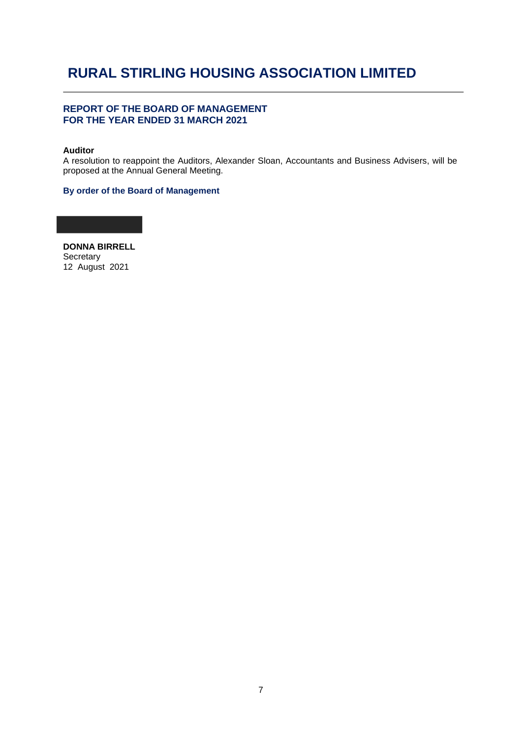#### **REPORT OF THE BOARD OF MANAGEMENT FOR THE YEAR ENDED 31 MARCH 2021**

#### **Auditor**

A resolution to reappoint the Auditors, Alexander Sloan, Accountants and Business Advisers, will be proposed at the Annual General Meeting.

#### **By order of the Board of Management**

**DONNA BIRRELL Secretary** 12 August 2021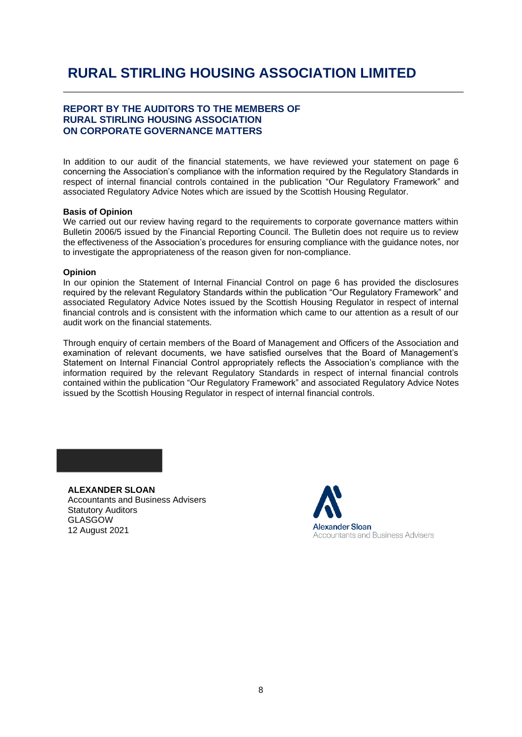#### **REPORT BY THE AUDITORS TO THE MEMBERS OF RURAL STIRLING HOUSING ASSOCIATION ON CORPORATE GOVERNANCE MATTERS**

In addition to our audit of the financial statements, we have reviewed your statement on page 6 concerning the Association's compliance with the information required by the Regulatory Standards in respect of internal financial controls contained in the publication "Our Regulatory Framework" and associated Regulatory Advice Notes which are issued by the Scottish Housing Regulator.

#### **Basis of Opinion**

We carried out our review having regard to the requirements to corporate governance matters within Bulletin 2006/5 issued by the Financial Reporting Council. The Bulletin does not require us to review the effectiveness of the Association's procedures for ensuring compliance with the guidance notes, nor to investigate the appropriateness of the reason given for non-compliance.

#### **Opinion**

In our opinion the Statement of Internal Financial Control on page 6 has provided the disclosures required by the relevant Regulatory Standards within the publication "Our Regulatory Framework" and associated Regulatory Advice Notes issued by the Scottish Housing Regulator in respect of internal financial controls and is consistent with the information which came to our attention as a result of our audit work on the financial statements.

Through enquiry of certain members of the Board of Management and Officers of the Association and examination of relevant documents, we have satisfied ourselves that the Board of Management's Statement on Internal Financial Control appropriately reflects the Association's compliance with the information required by the relevant Regulatory Standards in respect of internal financial controls contained within the publication "Our Regulatory Framework" and associated Regulatory Advice Notes issued by the Scottish Housing Regulator in respect of internal financial controls.

**ALEXANDER SLOAN** Accountants and Business Advisers Statutory Auditors GLASGOW 12 August 2021

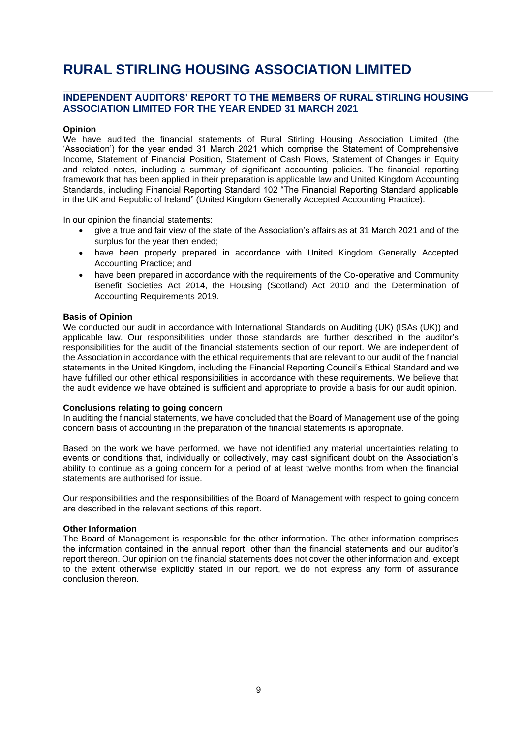#### **INDEPENDENT AUDITORS' REPORT TO THE MEMBERS OF RURAL STIRLING HOUSING ASSOCIATION LIMITED FOR THE YEAR ENDED 31 MARCH 2021**

#### **Opinion**

We have audited the financial statements of Rural Stirling Housing Association Limited (the 'Association') for the year ended 31 March 2021 which comprise the Statement of Comprehensive Income, Statement of Financial Position, Statement of Cash Flows, Statement of Changes in Equity and related notes, including a summary of significant accounting policies. The financial reporting framework that has been applied in their preparation is applicable law and United Kingdom Accounting Standards, including Financial Reporting Standard 102 "The Financial Reporting Standard applicable in the UK and Republic of Ireland" (United Kingdom Generally Accepted Accounting Practice).

In our opinion the financial statements:

- give a true and fair view of the state of the Association's affairs as at 31 March 2021 and of the surplus for the year then ended;
- have been properly prepared in accordance with United Kingdom Generally Accepted Accounting Practice; and
- have been prepared in accordance with the requirements of the Co-operative and Community Benefit Societies Act 2014, the Housing (Scotland) Act 2010 and the Determination of Accounting Requirements 2019.

#### **Basis of Opinion**

We conducted our audit in accordance with International Standards on Auditing (UK) (ISAs (UK)) and applicable law. Our responsibilities under those standards are further described in the auditor's responsibilities for the audit of the financial statements section of our report. We are independent of the Association in accordance with the ethical requirements that are relevant to our audit of the financial statements in the United Kingdom, including the Financial Reporting Council's Ethical Standard and we have fulfilled our other ethical responsibilities in accordance with these requirements. We believe that the audit evidence we have obtained is sufficient and appropriate to provide a basis for our audit opinion.

#### **Conclusions relating to going concern**

In auditing the financial statements, we have concluded that the Board of Management use of the going concern basis of accounting in the preparation of the financial statements is appropriate.

Based on the work we have performed, we have not identified any material uncertainties relating to events or conditions that, individually or collectively, may cast significant doubt on the Association's ability to continue as a going concern for a period of at least twelve months from when the financial statements are authorised for issue.

Our responsibilities and the responsibilities of the Board of Management with respect to going concern are described in the relevant sections of this report.

#### **Other Information**

The Board of Management is responsible for the other information. The other information comprises the information contained in the annual report, other than the financial statements and our auditor's report thereon. Our opinion on the financial statements does not cover the other information and, except to the extent otherwise explicitly stated in our report, we do not express any form of assurance conclusion thereon.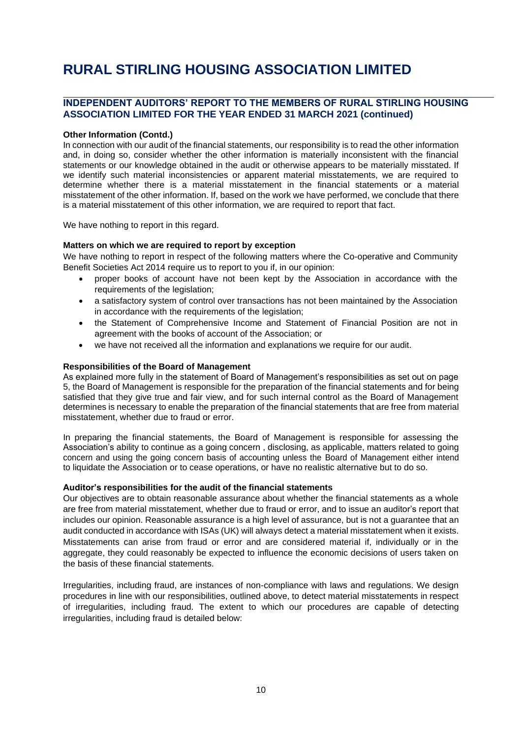#### **INDEPENDENT AUDITORS' REPORT TO THE MEMBERS OF RURAL STIRLING HOUSING ASSOCIATION LIMITED FOR THE YEAR ENDED 31 MARCH 2021 (continued)**

#### **Other Information (Contd.)**

In connection with our audit of the financial statements, our responsibility is to read the other information and, in doing so, consider whether the other information is materially inconsistent with the financial statements or our knowledge obtained in the audit or otherwise appears to be materially misstated. If we identify such material inconsistencies or apparent material misstatements, we are required to determine whether there is a material misstatement in the financial statements or a material misstatement of the other information. If, based on the work we have performed, we conclude that there is a material misstatement of this other information, we are required to report that fact.

We have nothing to report in this regard.

#### **Matters on which we are required to report by exception**

We have nothing to report in respect of the following matters where the Co-operative and Community Benefit Societies Act 2014 require us to report to you if, in our opinion:

- proper books of account have not been kept by the Association in accordance with the requirements of the legislation;
- a satisfactory system of control over transactions has not been maintained by the Association in accordance with the requirements of the legislation;
- the Statement of Comprehensive Income and Statement of Financial Position are not in agreement with the books of account of the Association; or
- we have not received all the information and explanations we require for our audit.

#### **Responsibilities of the Board of Management**

As explained more fully in the statement of Board of Management's responsibilities as set out on page 5, the Board of Management is responsible for the preparation of the financial statements and for being satisfied that they give true and fair view, and for such internal control as the Board of Management determines is necessary to enable the preparation of the financial statements that are free from material misstatement, whether due to fraud or error.

In preparing the financial statements, the Board of Management is responsible for assessing the Association's ability to continue as a going concern , disclosing, as applicable, matters related to going concern and using the going concern basis of accounting unless the Board of Management either intend to liquidate the Association or to cease operations, or have no realistic alternative but to do so.

#### **Auditor's responsibilities for the audit of the financial statements**

Our objectives are to obtain reasonable assurance about whether the financial statements as a whole are free from material misstatement, whether due to fraud or error, and to issue an auditor's report that includes our opinion. Reasonable assurance is a high level of assurance, but is not a guarantee that an audit conducted in accordance with ISAs (UK) will always detect a material misstatement when it exists. Misstatements can arise from fraud or error and are considered material if, individually or in the aggregate, they could reasonably be expected to influence the economic decisions of users taken on the basis of these financial statements.

Irregularities, including fraud, are instances of non-compliance with laws and regulations. We design procedures in line with our responsibilities, outlined above, to detect material misstatements in respect of irregularities, including fraud. The extent to which our procedures are capable of detecting irregularities, including fraud is detailed below: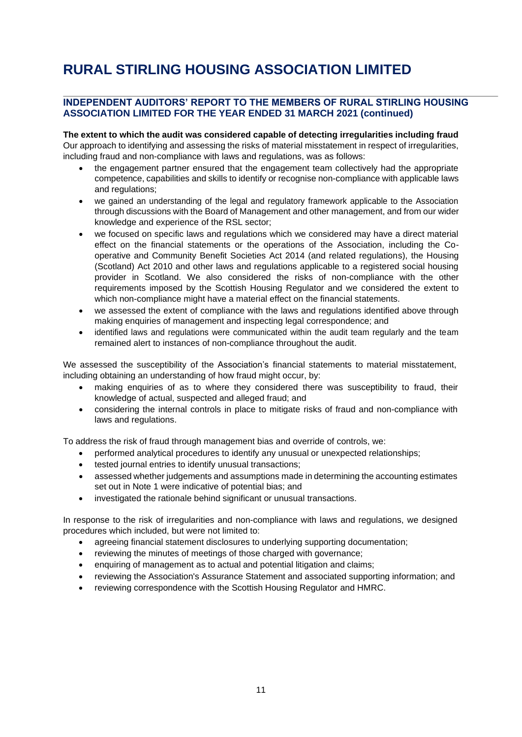#### **INDEPENDENT AUDITORS' REPORT TO THE MEMBERS OF RURAL STIRLING HOUSING ASSOCIATION LIMITED FOR THE YEAR ENDED 31 MARCH 2021 (continued)**

**The extent to which the audit was considered capable of detecting irregularities including fraud** Our approach to identifying and assessing the risks of material misstatement in respect of irregularities, including fraud and non-compliance with laws and regulations, was as follows:

- the engagement partner ensured that the engagement team collectively had the appropriate competence, capabilities and skills to identify or recognise non-compliance with applicable laws and regulations;
- we gained an understanding of the legal and regulatory framework applicable to the Association through discussions with the Board of Management and other management, and from our wider knowledge and experience of the RSL sector;
- we focused on specific laws and regulations which we considered may have a direct material effect on the financial statements or the operations of the Association, including the Cooperative and Community Benefit Societies Act 2014 (and related regulations), the Housing (Scotland) Act 2010 and other laws and regulations applicable to a registered social housing provider in Scotland. We also considered the risks of non-compliance with the other requirements imposed by the Scottish Housing Regulator and we considered the extent to which non-compliance might have a material effect on the financial statements.
- we assessed the extent of compliance with the laws and regulations identified above through making enquiries of management and inspecting legal correspondence; and
- identified laws and regulations were communicated within the audit team regularly and the team remained alert to instances of non-compliance throughout the audit.

We assessed the susceptibility of the Association's financial statements to material misstatement, including obtaining an understanding of how fraud might occur, by:

- making enquiries of as to where they considered there was susceptibility to fraud, their knowledge of actual, suspected and alleged fraud; and
- considering the internal controls in place to mitigate risks of fraud and non-compliance with laws and regulations.

To address the risk of fraud through management bias and override of controls, we:

- performed analytical procedures to identify any unusual or unexpected relationships;
- tested journal entries to identify unusual transactions;
- assessed whether judgements and assumptions made in determining the accounting estimates set out in Note 1 were indicative of potential bias; and
- investigated the rationale behind significant or unusual transactions.

In response to the risk of irregularities and non-compliance with laws and regulations, we designed procedures which included, but were not limited to:

- agreeing financial statement disclosures to underlying supporting documentation;
- reviewing the minutes of meetings of those charged with governance;
- enquiring of management as to actual and potential litigation and claims;
- reviewing the Association's Assurance Statement and associated supporting information; and
- reviewing correspondence with the Scottish Housing Regulator and HMRC.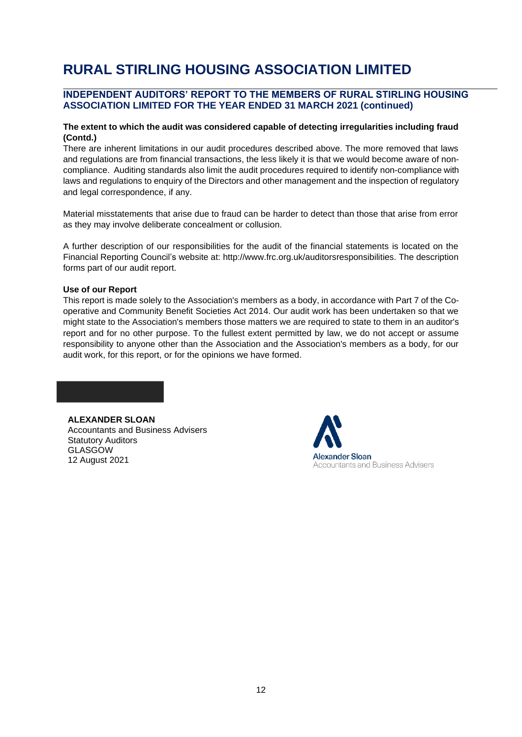#### **INDEPENDENT AUDITORS' REPORT TO THE MEMBERS OF RURAL STIRLING HOUSING ASSOCIATION LIMITED FOR THE YEAR ENDED 31 MARCH 2021 (continued)**

#### **The extent to which the audit was considered capable of detecting irregularities including fraud (Contd.)**

There are inherent limitations in our audit procedures described above. The more removed that laws and regulations are from financial transactions, the less likely it is that we would become aware of noncompliance. Auditing standards also limit the audit procedures required to identify non-compliance with laws and regulations to enquiry of the Directors and other management and the inspection of regulatory and legal correspondence, if any.

Material misstatements that arise due to fraud can be harder to detect than those that arise from error as they may involve deliberate concealment or collusion.

A further description of our responsibilities for the audit of the financial statements is located on the Financial Reporting Council's website at: [http://www.frc.org.uk/auditorsresponsibilities.](http://www.frc.org.uk/auditorsresponsibilities) The description forms part of our audit report.

#### **Use of our Report**

This report is made solely to the Association's members as a body, in accordance with Part 7 of the Cooperative and Community Benefit Societies Act 2014. Our audit work has been undertaken so that we might state to the Association's members those matters we are required to state to them in an auditor's report and for no other purpose. To the fullest extent permitted by law, we do not accept or assume responsibility to anyone other than the Association and the Association's members as a body, for our audit work, for this report, or for the opinions we have formed.

**ALEXANDER SLOAN**

Accountants and Business Advisers Statutory Auditors GLASGOW 12 August 2021

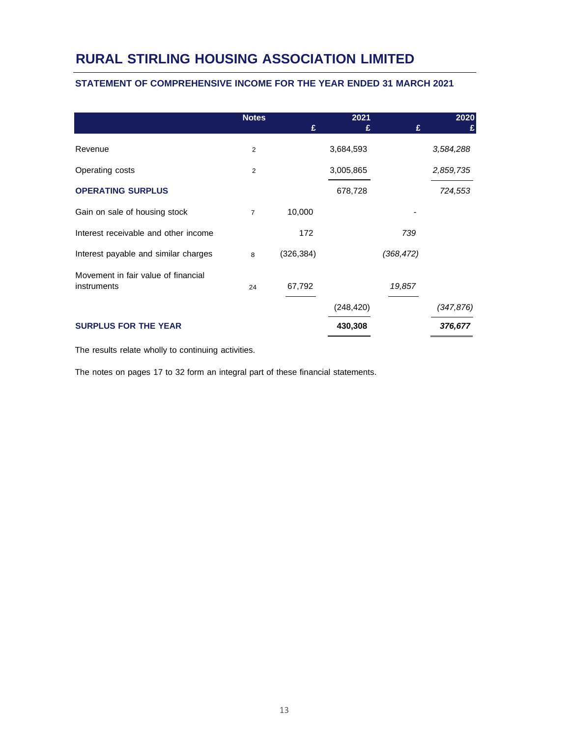#### **STATEMENT OF COMPREHENSIVE INCOME FOR THE YEAR ENDED 31 MARCH 2021**

|                                                    | <b>Notes</b>   | £          | 2021<br>£  | £          | 2020<br>£  |
|----------------------------------------------------|----------------|------------|------------|------------|------------|
| Revenue                                            | 2              |            | 3,684,593  |            | 3,584,288  |
| Operating costs                                    | 2              |            | 3,005,865  |            | 2,859,735  |
| <b>OPERATING SURPLUS</b>                           |                |            | 678,728    |            | 724,553    |
| Gain on sale of housing stock                      | $\overline{7}$ | 10,000     |            |            |            |
| Interest receivable and other income               |                | 172        |            | 739        |            |
| Interest payable and similar charges               | 8              | (326, 384) |            | (368, 472) |            |
| Movement in fair value of financial<br>instruments | 24             | 67,792     |            | 19,857     |            |
|                                                    |                |            | (248, 420) |            | (347, 876) |
| <b>SURPLUS FOR THE YEAR</b>                        |                |            | 430,308    |            | 376,677    |

The results relate wholly to continuing activities.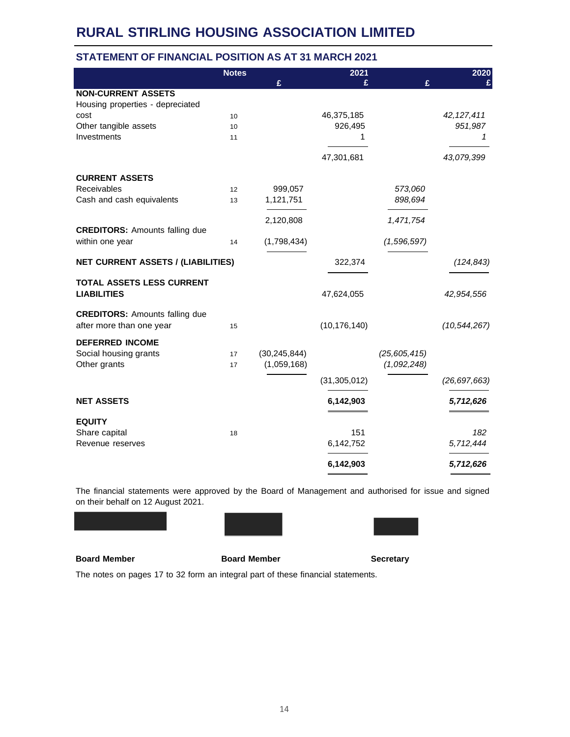#### **STATEMENT OF FINANCIAL POSITION AS AT 31 MARCH 2021**

|                                           | <b>Notes</b> |                | 2021           |                | 2020           |
|-------------------------------------------|--------------|----------------|----------------|----------------|----------------|
|                                           |              | £              | £              | £              |                |
| <b>NON-CURRENT ASSETS</b>                 |              |                |                |                |                |
| Housing properties - depreciated          |              |                |                |                |                |
| cost                                      | 10           |                | 46,375,185     |                | 42, 127, 411   |
| Other tangible assets                     | 10           |                | 926,495        |                | 951,987        |
| Investments                               | 11           |                | 1              |                | 1              |
|                                           |              |                |                |                |                |
|                                           |              |                | 47,301,681     |                | 43,079,399     |
| <b>CURRENT ASSETS</b>                     |              |                |                |                |                |
| Receivables                               | 12           | 999,057        |                | 573,060        |                |
| Cash and cash equivalents                 | 13           | 1,121,751      |                | 898,694        |                |
|                                           |              |                |                |                |                |
|                                           |              | 2,120,808      |                | 1,471,754      |                |
| <b>CREDITORS: Amounts falling due</b>     |              |                |                |                |                |
| within one year                           | 14           | (1,798,434)    |                | (1,596,597)    |                |
| <b>NET CURRENT ASSETS / (LIABILITIES)</b> |              |                | 322,374        |                | (124, 843)     |
| TOTAL ASSETS LESS CURRENT                 |              |                |                |                |                |
| <b>LIABILITIES</b>                        |              |                | 47,624,055     |                | 42,954,556     |
| <b>CREDITORS: Amounts falling due</b>     |              |                |                |                |                |
| after more than one year                  | 15           |                | (10, 176, 140) |                | (10, 544, 267) |
|                                           |              |                |                |                |                |
| <b>DEFERRED INCOME</b>                    |              |                |                |                |                |
| Social housing grants                     | 17           | (30, 245, 844) |                | (25, 605, 415) |                |
| Other grants                              | 17           | (1,059,168)    |                | (1,092,248)    |                |
|                                           |              |                | (31, 305, 012) |                | (26, 697, 663) |
| <b>NET ASSETS</b>                         |              |                | 6,142,903      |                | 5,712,626      |
|                                           |              |                |                |                |                |
| <b>EQUITY</b>                             |              |                | 151            |                | 182            |
| Share capital<br>Revenue reserves         | 18           |                | 6,142,752      |                | 5,712,444      |
|                                           |              |                |                |                |                |
|                                           |              |                | 6,142,903      |                | 5,712,626      |

The financial statements were approved by the Board of Management and authorised for issue and signed on their behalf on 12 August 2021.





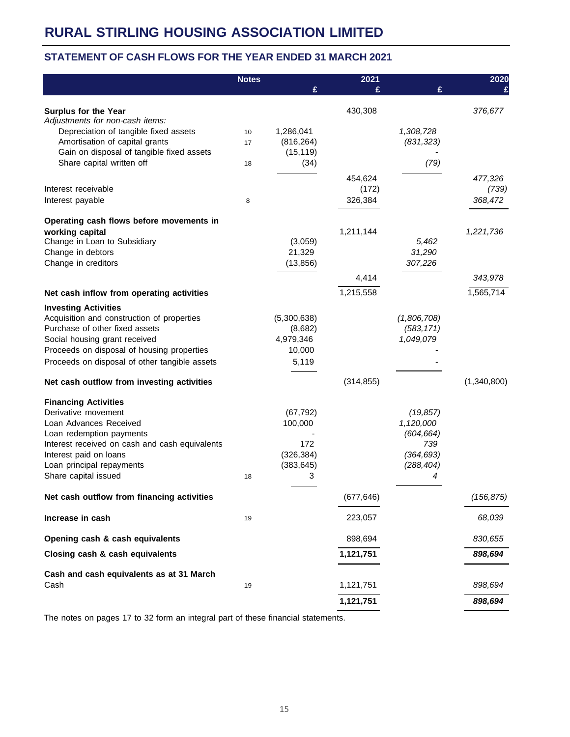#### **STATEMENT OF CASH FLOWS FOR THE YEAR ENDED 31 MARCH 2021**

|                                                                          | <b>Notes</b> |                   | 2021       |                   | 2020        |
|--------------------------------------------------------------------------|--------------|-------------------|------------|-------------------|-------------|
|                                                                          |              | £                 |            | £                 |             |
| <b>Surplus for the Year</b>                                              |              |                   | 430,308    |                   | 376,677     |
| Adjustments for non-cash items:<br>Depreciation of tangible fixed assets | 10           | 1,286,041         |            | 1,308,728         |             |
| Amortisation of capital grants                                           | 17           | (816, 264)        |            | (831, 323)        |             |
| Gain on disposal of tangible fixed assets                                |              | (15, 119)         |            |                   |             |
| Share capital written off                                                | 18           | (34)              |            | (79)              |             |
|                                                                          |              |                   | 454,624    |                   | 477,326     |
| Interest receivable                                                      |              |                   | (172)      |                   | (739)       |
| Interest payable                                                         | 8            |                   | 326,384    |                   | 368,472     |
| Operating cash flows before movements in                                 |              |                   |            |                   |             |
| working capital                                                          |              |                   | 1,211,144  |                   | 1,221,736   |
| Change in Loan to Subsidiary                                             |              | (3,059)           |            | 5,462             |             |
| Change in debtors                                                        |              | 21,329            |            | 31,290            |             |
| Change in creditors                                                      |              | (13, 856)         |            | 307,226           |             |
|                                                                          |              |                   | 4,414      |                   | 343,978     |
| Net cash inflow from operating activities                                |              |                   | 1,215,558  |                   | 1,565,714   |
| <b>Investing Activities</b>                                              |              |                   |            |                   |             |
| Acquisition and construction of properties                               |              | (5,300,638)       |            | (1,806,708)       |             |
| Purchase of other fixed assets                                           |              | (8,682)           |            | (583, 171)        |             |
| Social housing grant received                                            |              | 4,979,346         |            | 1,049,079         |             |
| Proceeds on disposal of housing properties                               |              | 10,000            |            |                   |             |
| Proceeds on disposal of other tangible assets                            |              | 5,119             |            |                   |             |
| Net cash outflow from investing activities                               |              |                   | (314, 855) |                   | (1,340,800) |
| <b>Financing Activities</b>                                              |              |                   |            |                   |             |
| Derivative movement                                                      |              | (67, 792)         |            | (19, 857)         |             |
| Loan Advances Received                                                   |              | 100,000           |            | 1,120,000         |             |
| Loan redemption payments                                                 |              |                   |            | (604, 664)        |             |
| Interest received on cash and cash equivalents<br>Interest paid on loans |              | 172<br>(326, 384) |            | 739<br>(364, 693) |             |
| Loan principal repayments                                                |              | (383, 645)        |            | (288, 404)        |             |
| Share capital issued                                                     | 18           | 3                 |            | 4                 |             |
| Net cash outflow from financing activities                               |              |                   | (677, 646) |                   | (156, 875)  |
| Increase in cash                                                         | 19           |                   | 223,057    |                   | 68,039      |
| Opening cash & cash equivalents                                          |              |                   | 898,694    |                   | 830,655     |
| Closing cash & cash equivalents                                          |              |                   | 1,121,751  |                   | 898,694     |
| Cash and cash equivalents as at 31 March                                 |              |                   |            |                   |             |
| Cash                                                                     | 19           |                   | 1,121,751  |                   | 898,694     |
|                                                                          |              |                   | 1,121,751  |                   | 898,694     |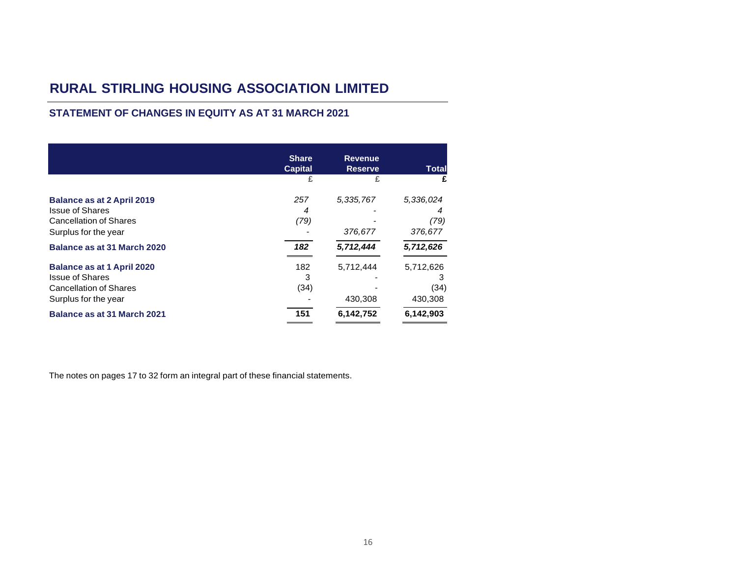### **STATEMENT OF CHANGES IN EQUITY AS AT 31 MARCH 2021**

|                                                         | <b>Share</b><br><b>Capital</b> | <b>Revenue</b><br><b>Reserve</b> | Total     |
|---------------------------------------------------------|--------------------------------|----------------------------------|-----------|
|                                                         | £                              |                                  | £         |
| <b>Balance as at 2 April 2019</b>                       | 257                            | 5,335,767                        | 5,336,024 |
| <b>Issue of Shares</b><br><b>Cancellation of Shares</b> | 4<br>(79)                      |                                  | 4<br>(79) |
| Surplus for the year                                    |                                | 376,677                          | 376,677   |
| Balance as at 31 March 2020                             | 182                            | 5,712,444                        | 5,712,626 |
| <b>Balance as at 1 April 2020</b>                       | 182                            | 5,712,444                        | 5,712,626 |
| <b>Issue of Shares</b>                                  | 3                              |                                  | з         |
| <b>Cancellation of Shares</b>                           | (34)                           |                                  | (34)      |
| Surplus for the year                                    |                                | 430,308                          | 430,308   |
| Balance as at 31 March 2021                             | 151                            | 6,142,752                        | 6,142,903 |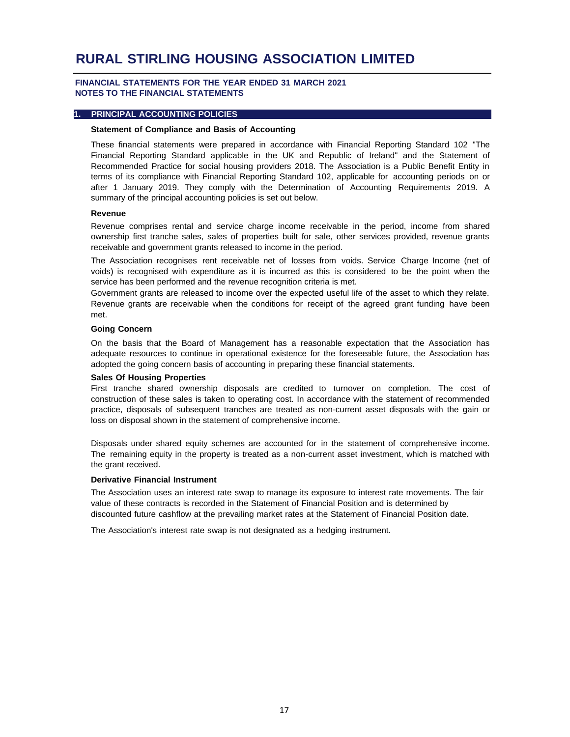#### **FINANCIAL STATEMENTS FOR THE YEAR ENDED 31 MARCH 2021 NOTES TO THE FINANCIAL STATEMENTS**

#### **1. PRINCIPAL ACCOUNTING POLICIES**

#### **Statement of Compliance and Basis of Accounting**

These financial statements were prepared in accordance with Financial Reporting Standard 102 "The Financial Reporting Standard applicable in the UK and Republic of Ireland" and the Statement of Recommended Practice for social housing providers 2018. The Association is a Public Benefit Entity in terms of its compliance with Financial Reporting Standard 102, applicable for accounting periods on or after 1 January 2019. They comply with the Determination of Accounting Requirements 2019. A summary of the principal accounting policies is set out below.

#### **Revenue**

Revenue comprises rental and service charge income receivable in the period, income from shared ownership first tranche sales, sales of properties built for sale, other services provided, revenue grants receivable and government grants released to income in the period.

The Association recognises rent receivable net of losses from voids. Service Charge Income (net of voids) is recognised with expenditure as it is incurred as this is considered to be the point when the service has been performed and the revenue recognition criteria is met.

Government grants are released to income over the expected useful life of the asset to which they relate. Revenue grants are receivable when the conditions for receipt of the agreed grant funding have been met.

#### **Going Concern**

On the basis that the Board of Management has a reasonable expectation that the Association has adequate resources to continue in operational existence for the foreseeable future, the Association has adopted the going concern basis of accounting in preparing these financial statements.

#### **Sales Of Housing Properties**

First tranche shared ownership disposals are credited to turnover on completion. The cost of construction of these sales is taken to operating cost. In accordance with the statement of recommended practice, disposals of subsequent tranches are treated as non-current asset disposals with the gain or loss on disposal shown in the statement of comprehensive income.

Disposals under shared equity schemes are accounted for in the statement of comprehensive income. The remaining equity in the property is treated as a non-current asset investment, which is matched with the grant received.

#### **Derivative Financial Instrument**

The Association uses an interest rate swap to manage its exposure to interest rate movements. The fair value of these contracts is recorded in the Statement of Financial Position and is determined by discounted future cashflow at the prevailing market rates at the Statement of Financial Position date.

The Association's interest rate swap is not designated as a hedging instrument.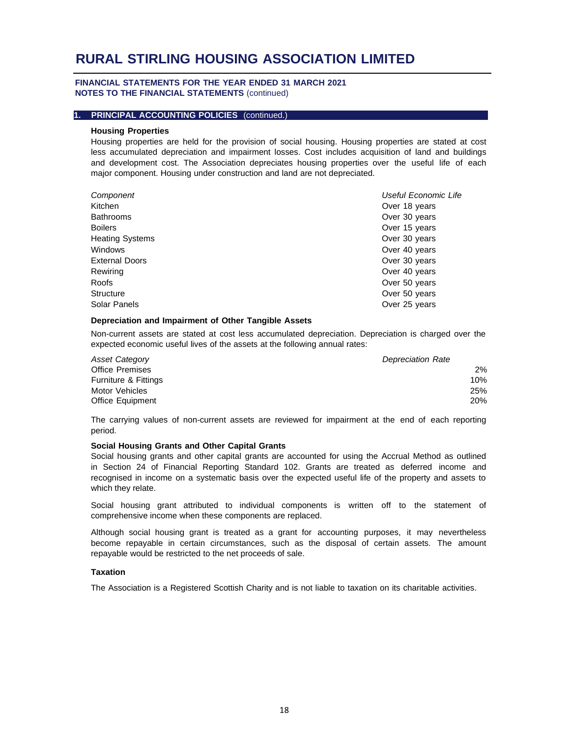#### **FINANCIAL STATEMENTS FOR THE YEAR ENDED 31 MARCH 2021 NOTES TO THE FINANCIAL STATEMENTS** (continued)

#### **1. PRINCIPAL ACCOUNTING POLICIES** (continued.)

#### **Housing Properties**

Housing properties are held for the provision of social housing. Housing properties are stated at cost less accumulated depreciation and impairment losses. Cost includes acquisition of land and buildings and development cost. The Association depreciates housing properties over the useful life of each major component. Housing under construction and land are not depreciated.

| Component              | Useful Economic Life |
|------------------------|----------------------|
| Kitchen                | Over 18 years        |
| <b>Bathrooms</b>       | Over 30 years        |
| <b>Boilers</b>         | Over 15 years        |
| <b>Heating Systems</b> | Over 30 years        |
| Windows                | Over 40 years        |
| <b>External Doors</b>  | Over 30 years        |
| Rewiring               | Over 40 years        |
| Roofs                  | Over 50 years        |
| <b>Structure</b>       | Over 50 years        |
| Solar Panels           | Over 25 years        |

#### **Depreciation and Impairment of Other Tangible Assets**

Non-current assets are stated at cost less accumulated depreciation. Depreciation is charged over the expected economic useful lives of the assets at the following annual rates:

| Asset Category       | <b>Depreciation Rate</b> |
|----------------------|--------------------------|
| Office Premises      | 2%                       |
| Furniture & Fittings | 10%                      |
| Motor Vehicles       | 25%                      |
| Office Equipment     | 20%                      |

The carrying values of non-current assets are reviewed for impairment at the end of each reporting period.

#### **Social Housing Grants and Other Capital Grants**

Social housing grants and other capital grants are accounted for using the Accrual Method as outlined in Section 24 of Financial Reporting Standard 102. Grants are treated as deferred income and recognised in income on a systematic basis over the expected useful life of the property and assets to which they relate.

Social housing grant attributed to individual components is written off to the statement of comprehensive income when these components are replaced.

Although social housing grant is treated as a grant for accounting purposes, it may nevertheless become repayable in certain circumstances, such as the disposal of certain assets. The amount repayable would be restricted to the net proceeds of sale.

#### **Taxation**

The Association is a Registered Scottish Charity and is not liable to taxation on its charitable activities.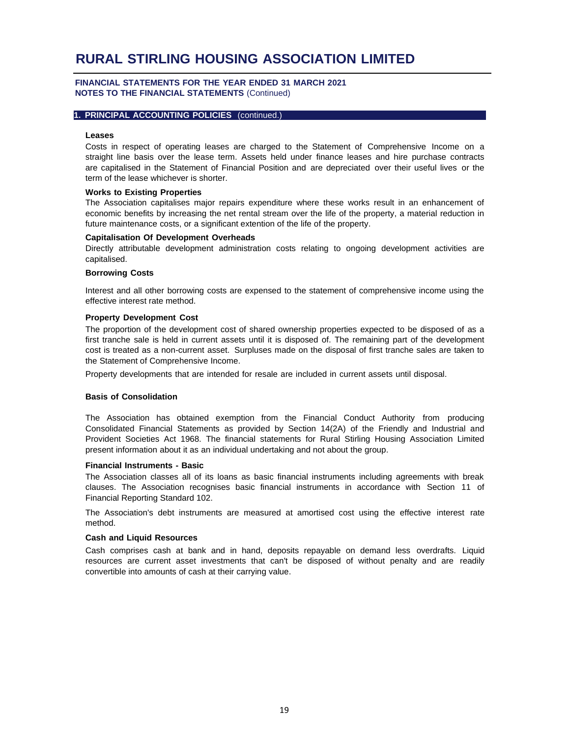#### **FINANCIAL STATEMENTS FOR THE YEAR ENDED 31 MARCH 2021 NOTES TO THE FINANCIAL STATEMENTS** (Continued)

#### **1. PRINCIPAL ACCOUNTING POLICIES** (continued.)

#### **Leases**

Costs in respect of operating leases are charged to the Statement of Comprehensive Income on a straight line basis over the lease term. Assets held under finance leases and hire purchase contracts are capitalised in the Statement of Financial Position and are depreciated over their useful lives or the term of the lease whichever is shorter.

#### **Works to Existing Properties**

The Association capitalises major repairs expenditure where these works result in an enhancement of economic benefits by increasing the net rental stream over the life of the property, a material reduction in future maintenance costs, or a significant extention of the life of the property.

#### **Capitalisation Of Development Overheads**

Directly attributable development administration costs relating to ongoing development activities are capitalised.

#### **Borrowing Costs**

Interest and all other borrowing costs are expensed to the statement of comprehensive income using the effective interest rate method.

#### **Property Development Cost**

The proportion of the development cost of shared ownership properties expected to be disposed of as a first tranche sale is held in current assets until it is disposed of. The remaining part of the development cost is treated as a non-current asset. Surpluses made on the disposal of first tranche sales are taken to the Statement of Comprehensive Income.

Property developments that are intended for resale are included in current assets until disposal.

#### **Basis of Consolidation**

The Association has obtained exemption from the Financial Conduct Authority from producing Consolidated Financial Statements as provided by Section 14(2A) of the Friendly and Industrial and Provident Societies Act 1968. The financial statements for Rural Stirling Housing Association Limited present information about it as an individual undertaking and not about the group.

#### **Financial Instruments - Basic**

The Association classes all of its loans as basic financial instruments including agreements with break clauses. The Association recognises basic financial instruments in accordance with Section 11 of Financial Reporting Standard 102.

The Association's debt instruments are measured at amortised cost using the effective interest rate method.

#### **Cash and Liquid Resources**

Cash comprises cash at bank and in hand, deposits repayable on demand less overdrafts. Liquid resources are current asset investments that can't be disposed of without penalty and are readily convertible into amounts of cash at their carrying value.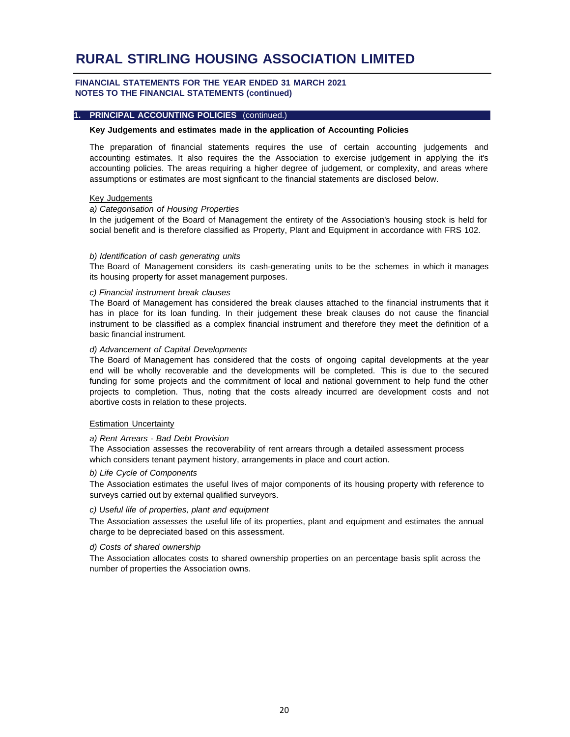#### **FINANCIAL STATEMENTS FOR THE YEAR ENDED 31 MARCH 2021 NOTES TO THE FINANCIAL STATEMENTS (continued)**

#### **1. PRINCIPAL ACCOUNTING POLICIES** (continued.)

#### **Key Judgements and estimates made in the application of Accounting Policies**

The preparation of financial statements requires the use of certain accounting judgements and accounting estimates. It also requires the the Association to exercise judgement in applying the it's accounting policies. The areas requiring a higher degree of judgement, or complexity, and areas where assumptions or estimates are most signficant to the financial statements are disclosed below.

#### Key Judgements

#### *a) Categorisation of Housing Properties*

In the judgement of the Board of Management the entirety of the Association's housing stock is held for social benefit and is therefore classified as Property, Plant and Equipment in accordance with FRS 102.

#### *b) Identification of cash generating units*

The Board of Management considers its cash-generating units to be the schemes in which it manages its housing property for asset management purposes.

#### *c) Financial instrument break clauses*

The Board of Management has considered the break clauses attached to the financial instruments that it has in place for its loan funding. In their judgement these break clauses do not cause the financial instrument to be classified as a complex financial instrument and therefore they meet the definition of a basic financial instrument.

#### *d) Advancement of Capital Developments*

The Board of Management has considered that the costs of ongoing capital developments at the year end will be wholly recoverable and the developments will be completed. This is due to the secured funding for some projects and the commitment of local and national government to help fund the other projects to completion. Thus, noting that the costs already incurred are development costs and not abortive costs in relation to these projects.

#### **Estimation Uncertainty**

#### *a) Rent Arrears - Bad Debt Provision*

The Association assesses the recoverability of rent arrears through a detailed assessment process which considers tenant payment history, arrangements in place and court action.

#### *b) Life Cycle of Components*

The Association estimates the useful lives of major components of its housing property with reference to surveys carried out by external qualified surveyors.

#### *c) Useful life of properties, plant and equipment*

The Association assesses the useful life of its properties, plant and equipment and estimates the annual charge to be depreciated based on this assessment.

#### *d) Costs of shared ownership*

The Association allocates costs to shared ownership properties on an percentage basis split across the number of properties the Association owns.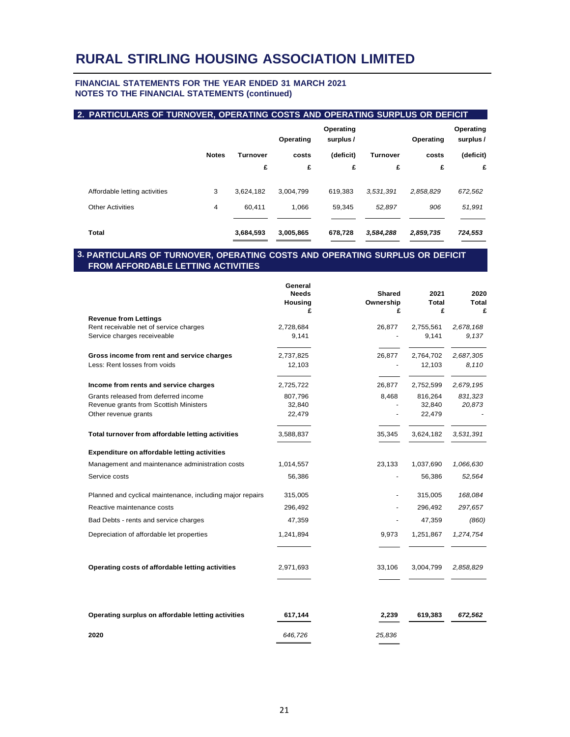#### **FINANCIAL STATEMENTS FOR THE YEAR ENDED 31 MARCH 2021 NOTES TO THE FINANCIAL STATEMENTS (continued)**

|                               |              |                 | Operating | Operating<br>surplus / |           | Operating | Operating<br>surplus / |
|-------------------------------|--------------|-----------------|-----------|------------------------|-----------|-----------|------------------------|
|                               | <b>Notes</b> | <b>Turnover</b> | costs     | (deficit)              | Turnover  | costs     | (deficit)              |
|                               |              | £               | £         | £                      | £         | £         | £                      |
| Affordable letting activities | 3            | 3,624,182       | 3,004,799 | 619,383                | 3.531.391 | 2,858,829 | 672,562                |
| <b>Other Activities</b>       | 4            | 60.411          | 1.066     | 59,345                 | 52.897    | 906       | 51,991                 |
| Total                         |              | 3,684,593       | 3,005,865 | 678,728                | 3,584,288 | 2,859,735 | 724,553                |

#### **3. PARTICULARS OF TURNOVER, OPERATING COSTS AND OPERATING SURPLUS OR DEFICIT FROM AFFORDABLE LETTING ACTIVITIES**

|                                                           | General<br><b>Needs</b><br>Housing<br>£ | <b>Shared</b><br>Ownership<br>£ | 2021<br>Total<br>£ | 2020<br>Total<br>£ |
|-----------------------------------------------------------|-----------------------------------------|---------------------------------|--------------------|--------------------|
| <b>Revenue from Lettings</b>                              |                                         |                                 |                    |                    |
| Rent receivable net of service charges                    | 2,728,684                               | 26,877                          | 2,755,561          | 2,678,168          |
| Service charges receiveable                               | 9,141                                   |                                 | 9,141              | 9,137              |
| Gross income from rent and service charges                | 2,737,825                               | 26,877                          | 2,764,702          | 2,687,305          |
| Less: Rent losses from voids                              | 12,103                                  |                                 | 12,103             | 8,110              |
| Income from rents and service charges                     | 2,725,722                               | 26,877                          | 2,752,599          | 2,679,195          |
| Grants released from deferred income                      | 807,796                                 | 8,468                           | 816,264            | 831,323            |
| Revenue grants from Scottish Ministers                    | 32,840                                  |                                 | 32,840             | 20,873             |
| Other revenue grants                                      | 22,479                                  |                                 | 22,479             |                    |
| Total turnover from affordable letting activities         | 3,588,837                               | 35,345                          | 3,624,182          | 3,531,391          |
| Expenditure on affordable letting activities              |                                         |                                 |                    |                    |
| Management and maintenance administration costs           | 1,014,557                               | 23,133                          | 1,037,690          | 1,066,630          |
| Service costs                                             | 56,386                                  |                                 | 56,386             | 52,564             |
| Planned and cyclical maintenance, including major repairs | 315,005                                 |                                 | 315,005            | 168,084            |
| Reactive maintenance costs                                | 296,492                                 |                                 | 296,492            | 297,657            |
| Bad Debts - rents and service charges                     | 47,359                                  |                                 | 47,359             | (860)              |
| Depreciation of affordable let properties                 | 1,241,894                               | 9,973                           | 1,251,867          | 1,274,754          |
| Operating costs of affordable letting activities          | 2,971,693                               | 33,106                          | 3,004,799          | 2,858,829          |
|                                                           |                                         |                                 |                    |                    |
| Operating surplus on affordable letting activities        | 617,144                                 | 2,239                           | 619,383            | 672,562            |
| 2020                                                      | 646,726                                 | 25,836                          |                    |                    |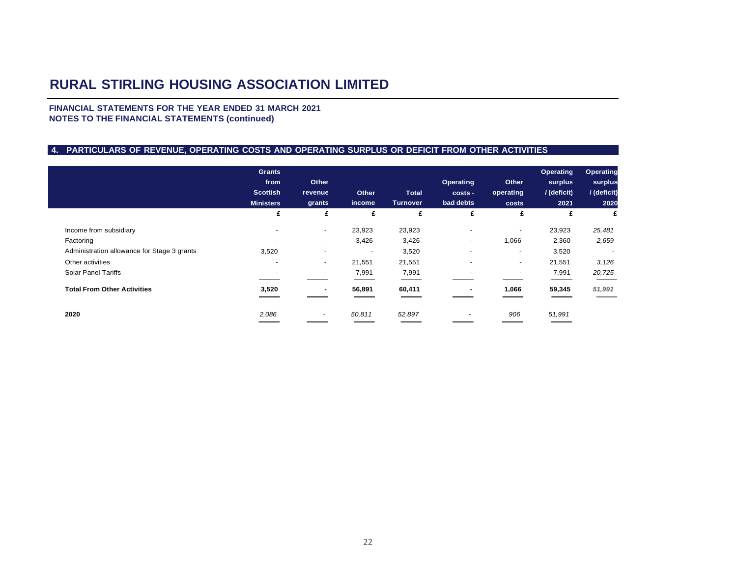**FINANCIAL STATEMENTS FOR THE YEAR ENDED 31 MARCH 2021 NOTES TO THE FINANCIAL STATEMENTS (continued)**

#### **4. PARTICULARS OF REVENUE, OPERATING COSTS AND OPERATING SURPLUS OR DEFICIT FROM OTHER ACTIVITIES**

|                                             | <b>Grants</b><br>from<br><b>Scottish</b><br><b>Ministers</b> | Other<br>revenue<br>grants | Other<br>income          | <b>Total</b><br><b>Turnover</b> | Operating<br>costs -<br>bad debts | Other<br>operating<br>costs | Operating<br>surplus<br>/(deficit)<br>2021 | Operating<br>surplus<br>/ (deficit)<br>2020 |
|---------------------------------------------|--------------------------------------------------------------|----------------------------|--------------------------|---------------------------------|-----------------------------------|-----------------------------|--------------------------------------------|---------------------------------------------|
|                                             | £                                                            | £                          | £                        | £                               | £                                 | £                           | £                                          | £                                           |
| Income from subsidiary                      | $\overline{\phantom{a}}$                                     | $\sim$                     | 23,923                   | 23,923                          | $\overline{\phantom{a}}$          | $\overline{\phantom{a}}$    | 23,923                                     | 25,481                                      |
| Factoring                                   | $\overline{\phantom{a}}$                                     | $\sim$                     | 3,426                    | 3,426                           | $\overline{\phantom{a}}$          | 1,066                       | 2,360                                      | 2,659                                       |
| Administration allowance for Stage 3 grants | 3,520                                                        | $\overline{a}$             | $\overline{\phantom{a}}$ | 3,520                           | $\overline{\phantom{a}}$          | $\overline{\phantom{a}}$    | 3,520                                      | $\sim$                                      |
| Other activities                            | $\overline{\phantom{a}}$                                     | $\blacksquare$             | 21,551                   | 21,551                          | $\overline{\phantom{a}}$          | $\overline{\phantom{a}}$    | 21,551                                     | 3,126                                       |
| <b>Solar Panel Tariffs</b>                  |                                                              | $\overline{\phantom{a}}$   | 7,991                    | 7,991                           |                                   | $\overline{\phantom{a}}$    | 7,991                                      | 20,725                                      |
| <b>Total From Other Activities</b>          | 3,520                                                        |                            | 56,891                   | 60,411                          |                                   | 1,066                       | 59,345                                     | 51,991                                      |
| 2020                                        | 2,086                                                        | $\sim$                     | 50,811                   | 52,897                          |                                   | 906                         | 51,991                                     |                                             |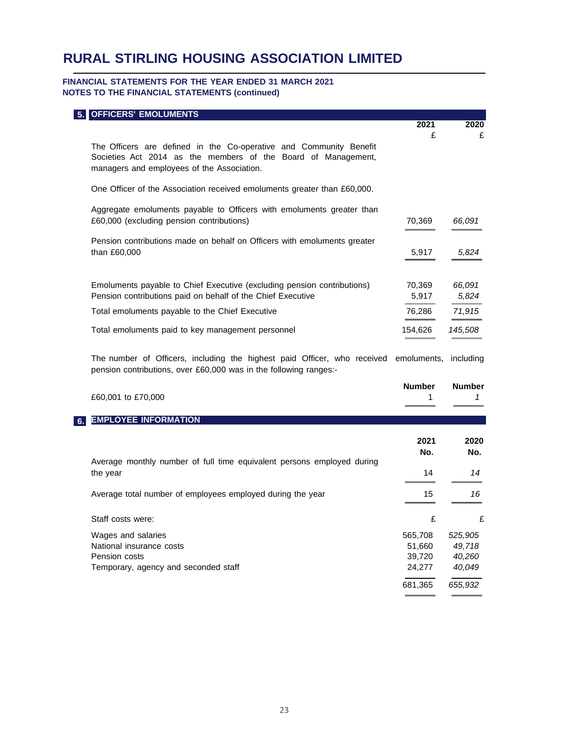#### **FINANCIAL STATEMENTS FOR THE YEAR ENDED 31 MARCH 2021 NOTES TO THE FINANCIAL STATEMENTS (continued)**

| <b>OFFICERS' EMOLUMENTS</b>                                                                                                                                                       |                                       |                                       |
|-----------------------------------------------------------------------------------------------------------------------------------------------------------------------------------|---------------------------------------|---------------------------------------|
|                                                                                                                                                                                   | 2021<br>£                             | 2020                                  |
| The Officers are defined in the Co-operative and Community Benefit<br>Societies Act 2014 as the members of the Board of Management,<br>managers and employees of the Association. |                                       | £                                     |
| One Officer of the Association received emoluments greater than £60,000.                                                                                                          |                                       |                                       |
| Aggregate emoluments payable to Officers with emoluments greater than<br>£60,000 (excluding pension contributions)                                                                | 70,369                                | 66,091                                |
| Pension contributions made on behalf on Officers with emoluments greater<br>than £60,000                                                                                          | 5,917                                 | 5,824                                 |
| Emoluments payable to Chief Executive (excluding pension contributions)<br>Pension contributions paid on behalf of the Chief Executive                                            | 70,369<br>5,917                       | 66,091<br>5,824                       |
| Total emoluments payable to the Chief Executive                                                                                                                                   | 76,286                                | 71,915                                |
| Total emoluments paid to key management personnel                                                                                                                                 | 154,626                               | 145,508                               |
| The number of Officers, including the highest paid Officer, who received<br>pension contributions, over £60,000 was in the following ranges:-                                     | emoluments,                           | including                             |
| £60,001 to £70,000                                                                                                                                                                | <b>Number</b><br>1                    | <b>Number</b><br>1                    |
| <b>EMPLOYEE INFORMATION</b>                                                                                                                                                       |                                       |                                       |
|                                                                                                                                                                                   | 2021<br>No.                           | 2020<br>No.                           |
| Average monthly number of full time equivalent persons employed during<br>the year                                                                                                | 14                                    | 14                                    |
| Average total number of employees employed during the year                                                                                                                        | 15                                    | 16                                    |
| Staff costs were:                                                                                                                                                                 | £                                     | £                                     |
| Wages and salaries<br>National insurance costs<br>Pension costs<br>Temporary, agency and seconded staff                                                                           | 565,708<br>51,660<br>39,720<br>24,277 | 525,905<br>49,718<br>40,260<br>40,049 |
|                                                                                                                                                                                   | 681,365                               | 655,932                               |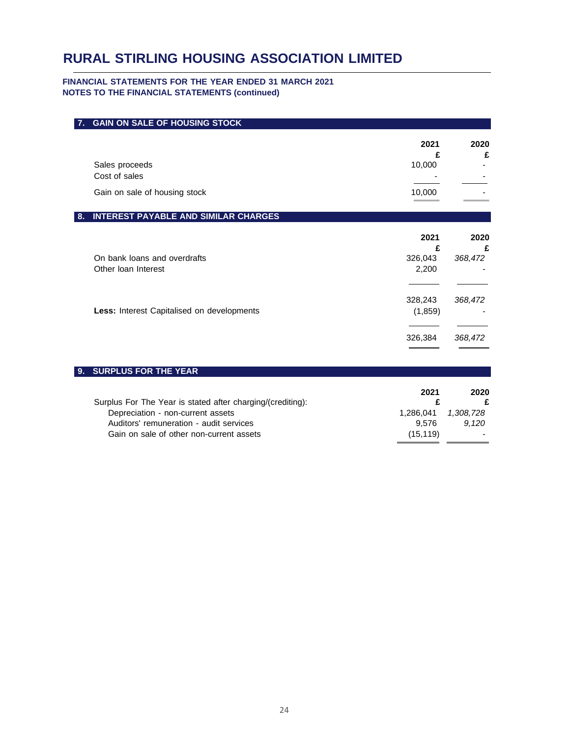#### **FINANCIAL STATEMENTS FOR THE YEAR ENDED 31 MARCH 2021 NOTES TO THE FINANCIAL STATEMENTS (continued)**

| <b>GAIN ON SALE OF HOUSING STOCK</b><br>7. |              |              |
|--------------------------------------------|--------------|--------------|
|                                            | 2021<br>£    | 2020<br>£    |
| Sales proceeds                             | 10,000       |              |
| Cost of sales                              |              |              |
| Gain on sale of housing stock              | 10,000       |              |
| INTEREST PAYABLE AND SIMILAR CHARGES<br>8. |              |              |
|                                            | 2021         | 2020         |
| On bank loans and overdrafts               | £<br>326,043 | £<br>368,472 |
| Other Ioan Interest                        | 2,200        |              |
|                                            |              |              |
|                                            | 328,243      | 368,472      |
| Less: Interest Capitalised on developments | (1, 859)     |              |
|                                            |              |              |

| Surplus For The Year is stated after charging/(crediting): | 2021      | 2020                     |
|------------------------------------------------------------|-----------|--------------------------|
| Depreciation - non-current assets                          | 1.286.041 | 1.308.728                |
| Auditors' remuneration - audit services                    | 9.576     | 9.120                    |
| Gain on sale of other non-current assets                   | (15.119)  | $\overline{\phantom{0}}$ |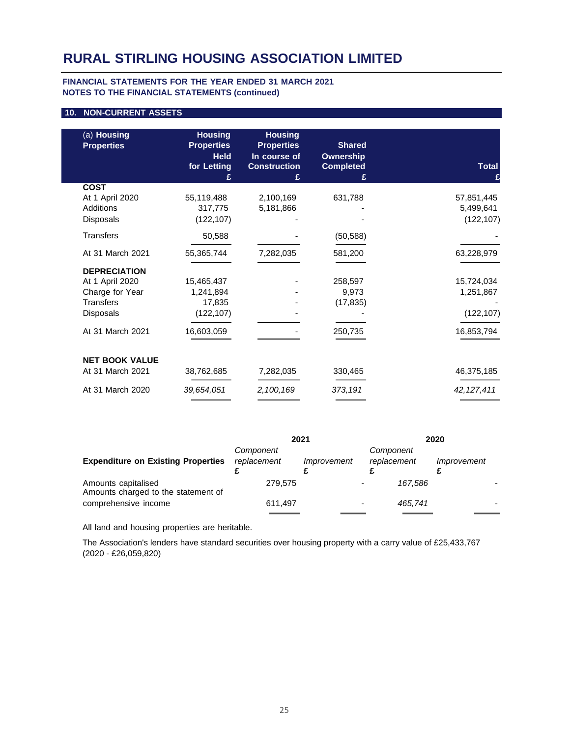#### **FINANCIAL STATEMENTS FOR THE YEAR ENDED 31 MARCH 2021 NOTES TO THE FINANCIAL STATEMENTS (continued)**

#### **10. NON-CURRENT ASSETS**

| (a) Housing<br><b>Properties</b> | <b>Housing</b><br><b>Properties</b><br><b>Held</b><br>for Letting<br>£ | <b>Housing</b><br><b>Properties</b><br>In course of<br><b>Construction</b><br>£ | <b>Shared</b><br><b>Ownership</b><br><b>Completed</b><br>£ | <b>Total</b><br>£ |
|----------------------------------|------------------------------------------------------------------------|---------------------------------------------------------------------------------|------------------------------------------------------------|-------------------|
| <b>COST</b>                      |                                                                        |                                                                                 |                                                            |                   |
| At 1 April 2020                  | 55,119,488                                                             | 2,100,169                                                                       | 631,788                                                    | 57,851,445        |
| Additions                        | 317,775                                                                | 5,181,866                                                                       |                                                            | 5,499,641         |
| Disposals                        | (122, 107)                                                             |                                                                                 |                                                            | (122, 107)        |
| <b>Transfers</b>                 | 50,588                                                                 |                                                                                 | (50, 588)                                                  |                   |
| At 31 March 2021                 | 55,365,744                                                             | 7,282,035                                                                       | 581,200                                                    | 63,228,979        |
| <b>DEPRECIATION</b>              |                                                                        |                                                                                 |                                                            |                   |
| At 1 April 2020                  | 15,465,437                                                             |                                                                                 | 258,597                                                    | 15,724,034        |
| Charge for Year                  | 1,241,894                                                              |                                                                                 | 9,973                                                      | 1,251,867         |
| <b>Transfers</b>                 | 17,835                                                                 |                                                                                 | (17, 835)                                                  |                   |
| <b>Disposals</b>                 | (122, 107)                                                             |                                                                                 |                                                            | (122, 107)        |
| At 31 March 2021                 | 16,603,059                                                             |                                                                                 | 250,735                                                    | 16,853,794        |
| <b>NET BOOK VALUE</b>            |                                                                        |                                                                                 |                                                            |                   |
| At 31 March 2021                 | 38,762,685                                                             | 7,282,035                                                                       | 330,465                                                    | 46,375,185        |
| At 31 March 2020                 | 39,654,051                                                             | 2,100,169                                                                       | 373,191                                                    | 42, 127, 411      |
|                                  |                                                                        |                                                                                 |                                                            |                   |

|                                                            | 2021                     |             | 2020                     |         |             |  |
|------------------------------------------------------------|--------------------------|-------------|--------------------------|---------|-------------|--|
| <b>Expenditure on Existing Properties</b>                  | Component<br>replacement | Improvement | Component<br>replacement |         | Improvement |  |
| Amounts capitalised<br>Amounts charged to the statement of | 279.575                  |             |                          | 167.586 |             |  |
| comprehensive income                                       | 611,497                  |             |                          | 465.741 |             |  |

All land and housing properties are heritable.

The Association's lenders have standard securities over housing property with a carry value of £25,433,767 (2020 - £26,059,820)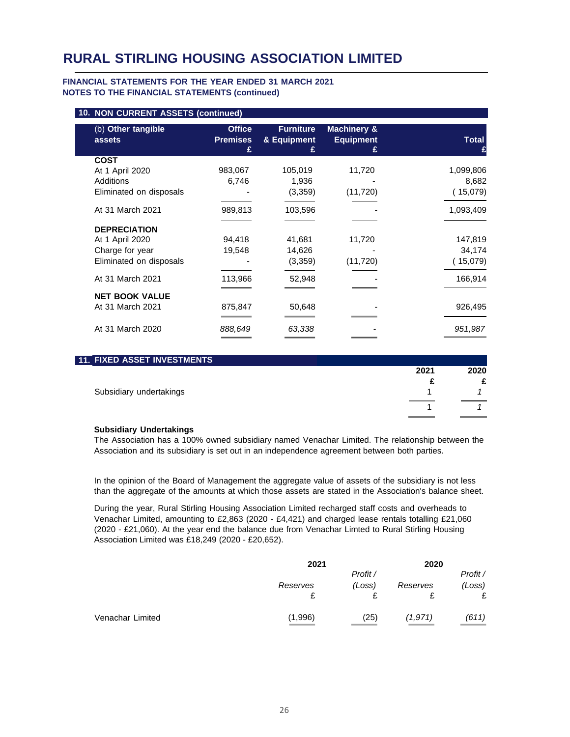#### **FINANCIAL STATEMENTS FOR THE YEAR ENDED 31 MARCH 2021 NOTES TO THE FINANCIAL STATEMENTS (continued)**

| 10. NON CURRENT ASSETS (continued) |                                  |                                 |                                            |              |
|------------------------------------|----------------------------------|---------------------------------|--------------------------------------------|--------------|
| (b) Other tangible<br>assets       | <b>Office</b><br><b>Premises</b> | <b>Furniture</b><br>& Equipment | <b>Machinery &amp;</b><br><b>Equipment</b> | <b>Total</b> |
| <b>COST</b>                        |                                  |                                 |                                            |              |
| At 1 April 2020                    | 983,067                          | 105,019                         | 11,720                                     | 1,099,806    |
| Additions                          | 6,746                            | 1,936                           |                                            | 8,682        |
| Eliminated on disposals            |                                  | (3,359)                         | (11, 720)                                  | (15,079)     |
| At 31 March 2021                   | 989,813                          | 103,596                         |                                            | 1,093,409    |
| <b>DEPRECIATION</b>                |                                  |                                 |                                            |              |
| At 1 April 2020                    | 94,418                           | 41,681                          | 11,720                                     | 147,819      |
| Charge for year                    | 19,548                           | 14,626                          |                                            | 34,174       |
| Eliminated on disposals            |                                  | (3,359)                         | (11, 720)                                  | (15,079)     |
| At 31 March 2021                   | 113,966                          | 52,948                          |                                            | 166,914      |
| <b>NET BOOK VALUE</b>              |                                  |                                 |                                            |              |
| At 31 March 2021                   | 875,847                          | 50,648                          |                                            | 926,495      |
| At 31 March 2020                   | 888,649                          | 63,338                          |                                            | 951,987      |

| <b>11. FIXED ASSET INVESTMENTS</b> |      |      |
|------------------------------------|------|------|
|                                    | 2021 | 2020 |
|                                    |      |      |
| Subsidiary undertakings            |      |      |
|                                    |      |      |

#### **Subsidiary Undertakings**

The Association has a 100% owned subsidiary named Venachar Limited. The relationship between the Association and its subsidiary is set out in an independence agreement between both parties.

In the opinion of the Board of Management the aggregate value of assets of the subsidiary is not less than the aggregate of the amounts at which those assets are stated in the Association's balance sheet.

During the year, Rural Stirling Housing Association Limited recharged staff costs and overheads to Venachar Limited, amounting to £2,863 (2020 - £4,421) and charged lease rentals totalling £21,060 (2020 - £21,060). At the year end the balance due from Venachar Limted to Rural Stirling Housing Association Limited was £18,249 (2020 - £20,652).

|                  | 2021     |          | 2020     |          |
|------------------|----------|----------|----------|----------|
|                  |          | Profit / |          | Profit / |
|                  | Reserves | (Loss)   | Reserves | (Loss)   |
|                  |          |          |          | £        |
| Venachar Limited | (1,996)  | (25)     | (1,971)  | (611)    |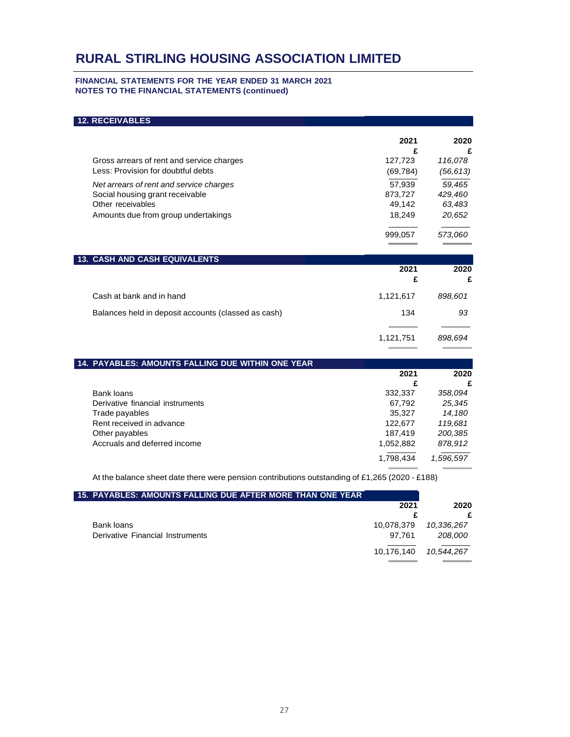#### **FINANCIAL STATEMENTS FOR THE YEAR ENDED 31 MARCH 2021 NOTES TO THE FINANCIAL STATEMENTS (continued)**

| <b>12. RECEIVABLES</b>                              |           |           |
|-----------------------------------------------------|-----------|-----------|
|                                                     | 2021      | 2020      |
|                                                     | £         | £         |
| Gross arrears of rent and service charges           | 127,723   | 116,078   |
| Less: Provision for doubtful debts                  | (69, 784) | (56, 613) |
| Net arrears of rent and service charges             | 57.939    | 59,465    |
| Social housing grant receivable                     | 873,727   | 429,460   |
| Other receivables                                   | 49,142    | 63,483    |
| Amounts due from group undertakings                 | 18,249    | 20,652    |
|                                                     | 999,057   | 573,060   |
| <b>13. CASH AND CASH EQUIVALENTS</b>                |           |           |
|                                                     | 2021      | 2020      |
|                                                     | £         | £         |
| Cash at bank and in hand                            | 1,121,617 | 898,601   |
| Balances held in deposit accounts (classed as cash) | 134       | 93        |
|                                                     | 1,121,751 | 898.694   |
|                                                     |           |           |
| 14. PAYABLES: AMOUNTS FALLING DUE WITHIN ONE YEAR   |           |           |
|                                                     | 2021      | 2020      |
|                                                     | £         | £         |
| <b>Bank loans</b>                                   | 332,337   | 358,094   |

| Bank loans                       | 332.337   | 358.094   |
|----------------------------------|-----------|-----------|
| Derivative financial instruments | 67.792    | 25,345    |
| Trade payables                   | 35.327    | 14,180    |
| Rent received in advance         | 122.677   | 119.681   |
| Other payables                   | 187.419   | 200,385   |
| Accruals and deferred income     | 1.052.882 | 878,912   |
|                                  | 1.798.434 | 1,596,597 |

At the balance sheet date there were pension contributions outstanding of £1,265 (2020 - £188)

| 15. PAYABLES: AMOUNTS FALLING DUE AFTER MORE THAN ONE YEAR |            |            |
|------------------------------------------------------------|------------|------------|
|                                                            | 2021       | 2020       |
|                                                            |            |            |
| Bank loans                                                 | 10.078.379 | 10.336.267 |
| Derivative Financial Instruments                           | 97.761     | 208.000    |
|                                                            | 10,176,140 | 10.544.267 |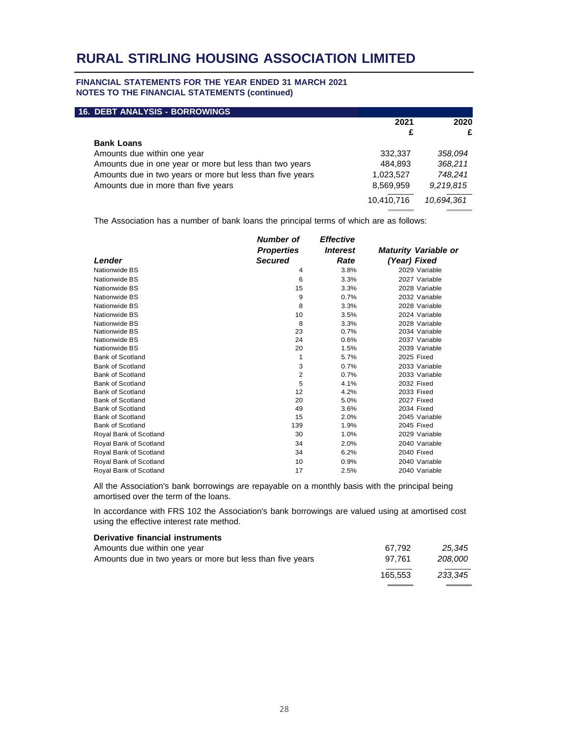#### **FINANCIAL STATEMENTS FOR THE YEAR ENDED 31 MARCH 2021 NOTES TO THE FINANCIAL STATEMENTS (continued)**

| <b>16. DEBT ANALYSIS - BORROWINGS</b>                     |            |            |
|-----------------------------------------------------------|------------|------------|
|                                                           | 2021       | 2020       |
|                                                           | £          | £          |
| <b>Bank Loans</b>                                         |            |            |
| Amounts due within one year                               | 332,337    | 358.094    |
| Amounts due in one year or more but less than two years   | 484,893    | 368,211    |
| Amounts due in two years or more but less than five years | 1,023,527  | 748.241    |
| Amounts due in more than five years                       | 8,569,959  | 9,219,815  |
|                                                           | 10,410,716 | 10,694,361 |

The Association has a number of bank loans the principal terms of which are as follows:

|                         | <b>Number</b> of  | <b>Effective</b>       |                             |
|-------------------------|-------------------|------------------------|-----------------------------|
|                         | <b>Properties</b> | <i><b>Interest</b></i> | <b>Maturity Variable or</b> |
| Lender                  | <b>Secured</b>    | Rate                   | (Year) Fixed                |
| Nationwide BS           | 4                 | 3.8%                   | 2029 Variable               |
| Nationwide BS           | 6                 | 3.3%                   | 2027 Variable               |
| Nationwide BS           | 15                | 3.3%                   | 2028 Variable               |
| Nationwide BS           | 9                 | 0.7%                   | 2032 Variable               |
| Nationwide BS           | 8                 | 3.3%                   | 2028 Variable               |
| Nationwide BS           | 10                | 3.5%                   | 2024 Variable               |
| Nationwide BS           | 8                 | 3.3%                   | 2028 Variable               |
| Nationwide BS           | 23                | 0.7%                   | 2034 Variable               |
| Nationwide BS           | 24                | 0.6%                   | 2037 Variable               |
| Nationwide BS           | 20                | 1.5%                   | 2039 Variable               |
| <b>Bank of Scotland</b> | 1                 | 5.7%                   | 2025 Fixed                  |
| <b>Bank of Scotland</b> | 3                 | 0.7%                   | 2033 Variable               |
| <b>Bank of Scotland</b> | 2                 | 0.7%                   | 2033 Variable               |
| <b>Bank of Scotland</b> | 5                 | 4.1%                   | 2032 Fixed                  |
| <b>Bank of Scotland</b> | 12                | 4.2%                   | 2033 Fixed                  |
| <b>Bank of Scotland</b> | 20                | 5.0%                   | 2027 Fixed                  |
| <b>Bank of Scotland</b> | 49                | 3.6%                   | 2034 Fixed                  |
| Bank of Scotland        | 15                | 2.0%                   | 2045 Variable               |
| <b>Bank of Scotland</b> | 139               | 1.9%                   | 2045 Fixed                  |
| Royal Bank of Scotland  | 30                | 1.0%                   | 2029 Variable               |
| Royal Bank of Scotland  | 34                | 2.0%                   | 2040 Variable               |
| Royal Bank of Scotland  | 34                | 6.2%                   | 2040 Fixed                  |
| Royal Bank of Scotland  | 10                | 0.9%                   | 2040 Variable               |
| Royal Bank of Scotland  | 17                | 2.5%                   | 2040 Variable               |

All the Association's bank borrowings are repayable on a monthly basis with the principal being amortised over the term of the loans.

In accordance with FRS 102 the Association's bank borrowings are valued using at amortised cost using the effective interest rate method.

| Derivative financial instruments                          |         |         |
|-----------------------------------------------------------|---------|---------|
| Amounts due within one year                               | 67.792  | 25.345  |
| Amounts due in two years or more but less than five years | 97.761  | 208.000 |
|                                                           | 165.553 | 233.345 |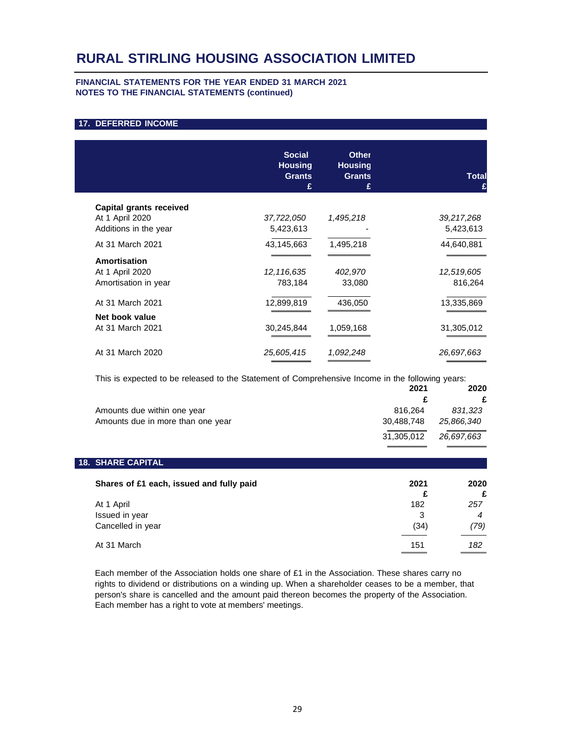#### **FINANCIAL STATEMENTS FOR THE YEAR ENDED 31 MARCH 2021 NOTES TO THE FINANCIAL STATEMENTS (continued)**

#### **17. DEFERRED INCOME**

|                         | <b>Social</b><br><b>Housing</b><br><b>Grants</b><br>£ | <b>Other</b><br><b>Housing</b><br><b>Grants</b><br>£ | <b>Total</b> |
|-------------------------|-------------------------------------------------------|------------------------------------------------------|--------------|
| Capital grants received |                                                       |                                                      |              |
| At 1 April 2020         | 37,722,050                                            | 1,495,218                                            | 39,217,268   |
| Additions in the year   | 5,423,613                                             |                                                      | 5,423,613    |
| At 31 March 2021        | 43,145,663                                            | 1,495,218                                            | 44,640,881   |
| Amortisation            |                                                       |                                                      |              |
| At 1 April 2020         | 12,116,635                                            | 402,970                                              | 12,519,605   |
| Amortisation in year    | 783,184                                               | 33,080                                               | 816,264      |
| At 31 March 2021        | 12,899,819                                            | 436,050                                              | 13,335,869   |
| Net book value          |                                                       |                                                      |              |
| At 31 March 2021        | 30,245,844                                            | 1,059,168                                            | 31,305,012   |
| At 31 March 2020        | 25,605,415                                            | 1,092,248                                            | 26,697,663   |
|                         |                                                       |                                                      |              |

This is expected to be released to the Statement of Comprehensive Income in the following years:

|                                   | 2021       | 2020       |
|-----------------------------------|------------|------------|
|                                   |            | £          |
| Amounts due within one year       | 816.264    | 831.323    |
| Amounts due in more than one year | 30.488.748 | 25.866.340 |
|                                   | 31.305.012 | 26.697.663 |

#### **18. SHARE CAPITAL**

| Shares of £1 each, issued and fully paid          | 2021<br>£        | 2020<br>£   |
|---------------------------------------------------|------------------|-------------|
| At 1 April<br>Issued in year<br>Cancelled in year | 182<br>3<br>(34) | 257<br>(79) |
| At 31 March                                       | 151              | 182         |

Each member of the Association holds one share of £1 in the Association. These shares carry no rights to dividend or distributions on a winding up. When a shareholder ceases to be a member, that person's share is cancelled and the amount paid thereon becomes the property of the Association. Each member has a right to vote at members' meetings.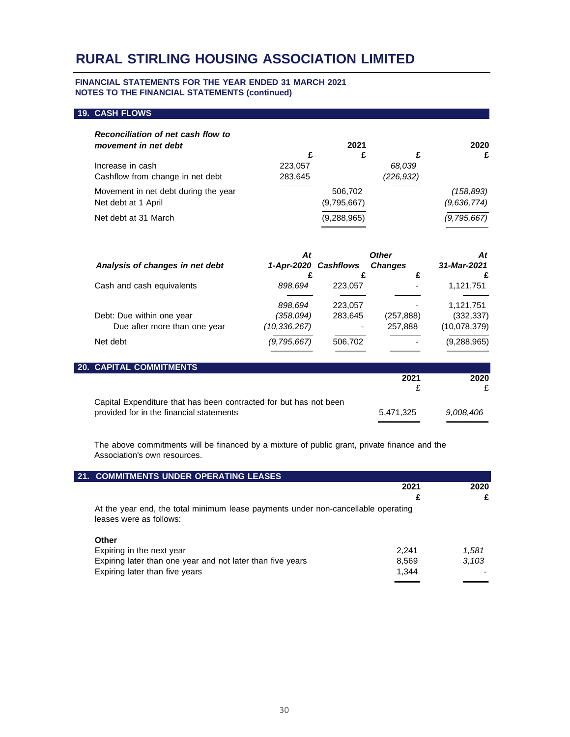#### **FINANCIAL STATEMENTS FOR THE YEAR ENDED 31 MARCH 2021 NOTES TO THE FINANCIAL STATEMENTS (continued)**

#### **19. CASH FLOWS**

| Reconciliation of net cash flow to   |         |             |           |             |
|--------------------------------------|---------|-------------|-----------|-------------|
| movement in net debt                 |         | 2021        |           | 2020        |
|                                      | £       | £           |           | £           |
| Increase in cash                     | 223,057 |             | 68,039    |             |
| Cashflow from change in net debt     | 283,645 |             | (226.932) |             |
| Movement in net debt during the year |         | 506.702     |           | (158, 893)  |
| Net debt at 1 April                  |         | (9,795,667) |           | (9,636,774) |
| Net debt at 31 March                 |         | (9,288,965) |           | (9,795,667) |

|                                 | At            |                      | <b>Other</b>   | At            |
|---------------------------------|---------------|----------------------|----------------|---------------|
| Analysis of changes in net debt |               | 1-Apr-2020 Cashflows | <b>Changes</b> | 31-Mar-2021   |
|                                 |               |                      | c              |               |
| Cash and cash equivalents       | 898,694       | 223,057              |                | 1,121,751     |
|                                 | 898,694       | 223,057              |                | 1,121,751     |
| Debt: Due within one year       | (358,094)     | 283,645              | (257, 888)     | (332, 337)    |
| Due after more than one year    | (10,336,267)  |                      | 257,888        | (10,078,379)  |
| Net debt                        | (9, 795, 667) | 506,702              |                | (9, 288, 965) |
|                                 |               |                      |                |               |

| <b>20. CAPITAL COMMITMENTS</b>                                    |           |           |
|-------------------------------------------------------------------|-----------|-----------|
|                                                                   | 2021      | 2020      |
|                                                                   |           |           |
| Capital Expenditure that has been contracted for but has not been |           |           |
| provided for in the financial statements                          | 5.471.325 | 9.008.406 |

The above commitments will be financed by a mixture of public grant, private finance and the Association's own resources.

| 21. COMMITMENTS UNDER OPERATING LEASES                                                                       |       |       |
|--------------------------------------------------------------------------------------------------------------|-------|-------|
|                                                                                                              | 2021  | 2020  |
|                                                                                                              |       |       |
| At the year end, the total minimum lease payments under non-cancellable operating<br>leases were as follows: |       |       |
| <b>Other</b>                                                                                                 |       |       |
| Expiring in the next year                                                                                    | 2.241 | 1.581 |
| Expiring later than one year and not later than five years                                                   | 8,569 | 3.103 |
| Expiring later than five years                                                                               | 1.344 |       |
|                                                                                                              |       |       |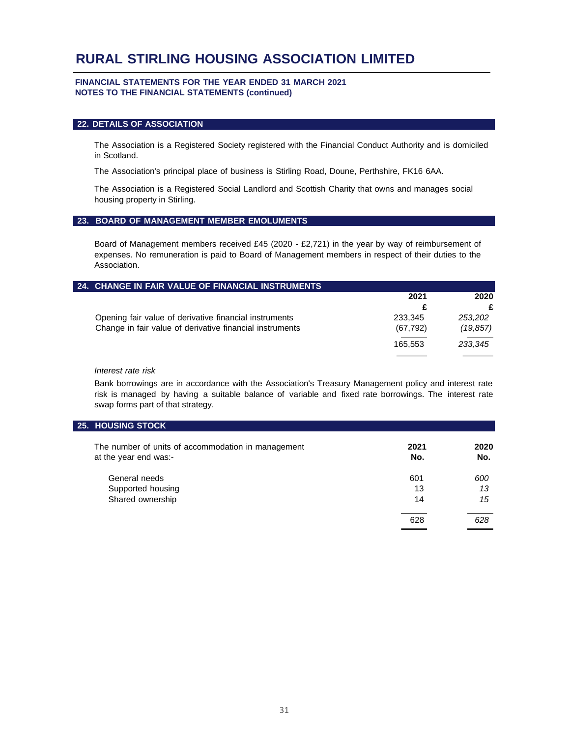#### **FINANCIAL STATEMENTS FOR THE YEAR ENDED 31 MARCH 2021 NOTES TO THE FINANCIAL STATEMENTS (continued)**

#### **22. DETAILS OF ASSOCIATION**

The Association is a Registered Society registered with the Financial Conduct Authority and is domiciled in Scotland.

The Association's principal place of business is Stirling Road, Doune, Perthshire, FK16 6AA.

The Association is a Registered Social Landlord and Scottish Charity that owns and manages social housing property in Stirling.

#### **23. BOARD OF MANAGEMENT MEMBER EMOLUMENTS**

Board of Management members received £45 (2020 - £2,721) in the year by way of reimbursement of expenses. No remuneration is paid to Board of Management members in respect of their duties to the Association.

| 24. CHANGE IN FAIR VALUE OF FINANCIAL INSTRUMENTS        |           |           |
|----------------------------------------------------------|-----------|-----------|
|                                                          | 2021      | 2020      |
|                                                          |           | £         |
| Opening fair value of derivative financial instruments   | 233.345   | 253,202   |
| Change in fair value of derivative financial instruments | (67, 792) | (19, 857) |
|                                                          | 165.553   | 233,345   |
|                                                          |           |           |

#### *Interest rate risk*

Bank borrowings are in accordance with the Association's Treasury Management policy and interest rate risk is managed by having a suitable balance of variable and fixed rate borrowings. The interest rate swap forms part of that strategy.

#### **25. HOUSING STOCK**

| The number of units of accommodation in management<br>at the year end was:- | 2021<br>No. | 2020<br>No. |
|-----------------------------------------------------------------------------|-------------|-------------|
| General needs                                                               | 601         | 600         |
| Supported housing                                                           | 13          | 13          |
| Shared ownership                                                            | 14          | 15          |
|                                                                             | 628         | 628         |
|                                                                             |             |             |